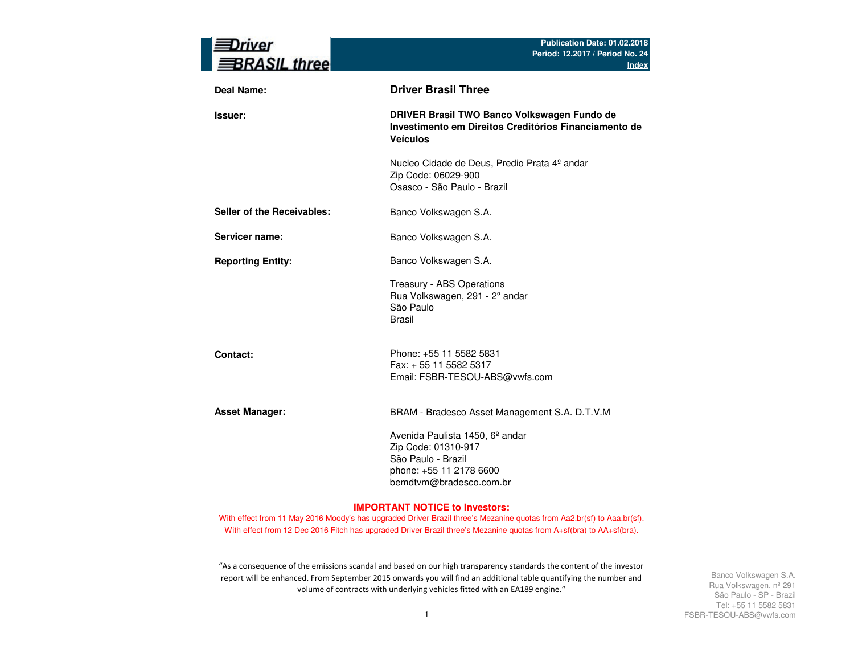| rıver<br><b>BRASIL three</b> | Publication Date: 01.02.2018<br>Period: 12.2017 / Period No. 24<br><b>Index</b>                                                                |
|------------------------------|------------------------------------------------------------------------------------------------------------------------------------------------|
| <b>Deal Name:</b>            | <b>Driver Brasil Three</b>                                                                                                                     |
| Issuer:                      | DRIVER Brasil TWO Banco Volkswagen Fundo de<br>Investimento em Direitos Creditórios Financiamento de<br><b>Veículos</b>                        |
|                              | Nucleo Cidade de Deus, Predio Prata 4º andar<br>Zip Code: 06029-900<br>Osasco - São Paulo - Brazil                                             |
| Seller of the Receivables:   | Banco Volkswagen S.A.                                                                                                                          |
| Servicer name:               | Banco Volkswagen S.A.                                                                                                                          |
| <b>Reporting Entity:</b>     | Banco Volkswagen S.A.                                                                                                                          |
|                              | Treasury - ABS Operations<br>Rua Volkswagen, 291 - 2º andar<br>São Paulo<br><b>Brasil</b>                                                      |
| Contact:                     | Phone: +55 11 5582 5831<br>Fax: + 55 11 5582 5317<br>Email: FSBR-TESOU-ABS@vwfs.com                                                            |
| <b>Asset Manager:</b>        | BRAM - Bradesco Asset Management S.A. D.T.V.M                                                                                                  |
|                              | Avenida Paulista 1450, 6 <sup>°</sup> andar<br>Zip Code: 01310-917<br>São Paulo - Brazil<br>phone: +55 11 2178 6600<br>bemdtvm@bradesco.com.br |

#### **IMPORTANT NOTICE to Investors:**

With effect from 11 May 2016 Moody's has upgraded Driver Brazil three's Mezanine quotas from Aa2.br(sf) to Aaa.br(sf). With effect from 12 Dec 2016 Fitch has upgraded Driver Brazil three's Mezanine quotas from A+sf(bra) to AA+sf(bra).

"As a consequence of the emissions scandal and based on our high transparency standards the content of the investor report will be enhanced. From September 2015 onwards you will find an additional table quantifying the number and volume of contracts with underlying vehicles fitted with an EA189 engine."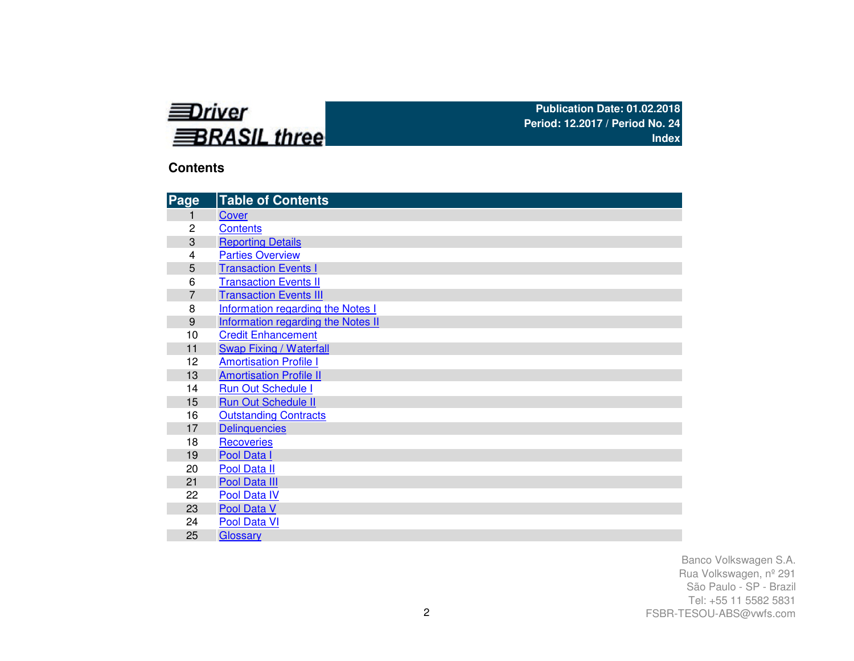

# **Contents**

| Page           | <b>Table of Contents</b>           |
|----------------|------------------------------------|
| 1              | Cover                              |
| 2              | <b>Contents</b>                    |
| 3              | <b>Reporting Details</b>           |
| 4              | <b>Parties Overview</b>            |
| 5              | <b>Transaction Events I</b>        |
| 6              | <b>Transaction Events II</b>       |
| $\overline{7}$ | <b>Transaction Events III</b>      |
| 8              | Information regarding the Notes I  |
| 9              | Information regarding the Notes II |
| 10             | <b>Credit Enhancement</b>          |
| 11             | <b>Swap Fixing / Waterfall</b>     |
| 12             | <b>Amortisation Profile I</b>      |
| 13             | <b>Amortisation Profile II</b>     |
| 14             | <b>Run Out Schedule I</b>          |
| 15             | <b>Run Out Schedule II</b>         |
| 16             | <b>Outstanding Contracts</b>       |
| 17             | <b>Delinquencies</b>               |
| 18             | <b>Recoveries</b>                  |
| 19             | Pool Data I                        |
| 20             | Pool Data II                       |
| 21             | Pool Data III                      |
| 22             | Pool Data IV                       |
| 23             | Pool Data V                        |
| 24             | Pool Data VI                       |
| 25             | Glossary                           |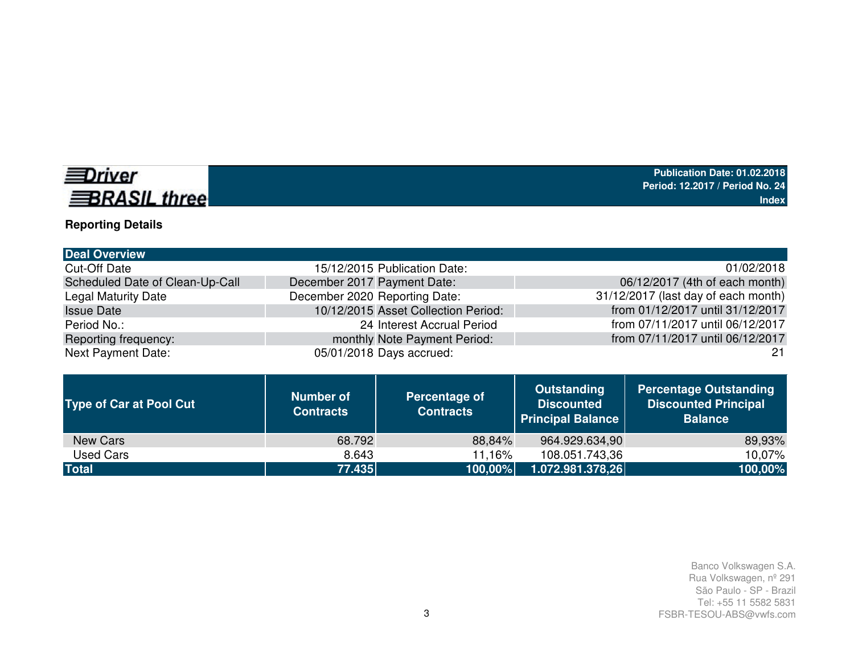# **EDriver BRASIL three**

# **Reporting Details**

| 15/12/2015 Publication Date:        | 01/02/2018                          |
|-------------------------------------|-------------------------------------|
| December 2017 Payment Date:         | 06/12/2017 (4th of each month)      |
| December 2020 Reporting Date:       | 31/12/2017 (last day of each month) |
| 10/12/2015 Asset Collection Period: | from 01/12/2017 until 31/12/2017    |
| 24 Interest Accrual Period          | from 07/11/2017 until 06/12/2017    |
| monthly Note Payment Period:        | from 07/11/2017 until 06/12/2017    |
| 05/01/2018 Days accrued:            | -21                                 |
|                                     |                                     |

| <b>Type of Car at Pool Cut</b> | <b>Number of</b><br><b>Contracts</b> | Percentage of<br><b>Contracts</b> | <b>Outstanding</b><br><b>Discounted</b><br><b>Principal Balance</b> | <b>Percentage Outstanding</b><br><b>Discounted Principal</b><br><b>Balance</b> |
|--------------------------------|--------------------------------------|-----------------------------------|---------------------------------------------------------------------|--------------------------------------------------------------------------------|
| New Cars                       | 68.792                               | 88,84%                            | 964.929.634,90                                                      | 89,93%                                                                         |
| Used Cars                      | 8.643                                | 11.16%                            | 108.051.743,36                                                      | 10,07%                                                                         |
| <b>Total</b>                   | 77.435                               | 100,00%                           | 1.072.981.378,26                                                    | 100,00%                                                                        |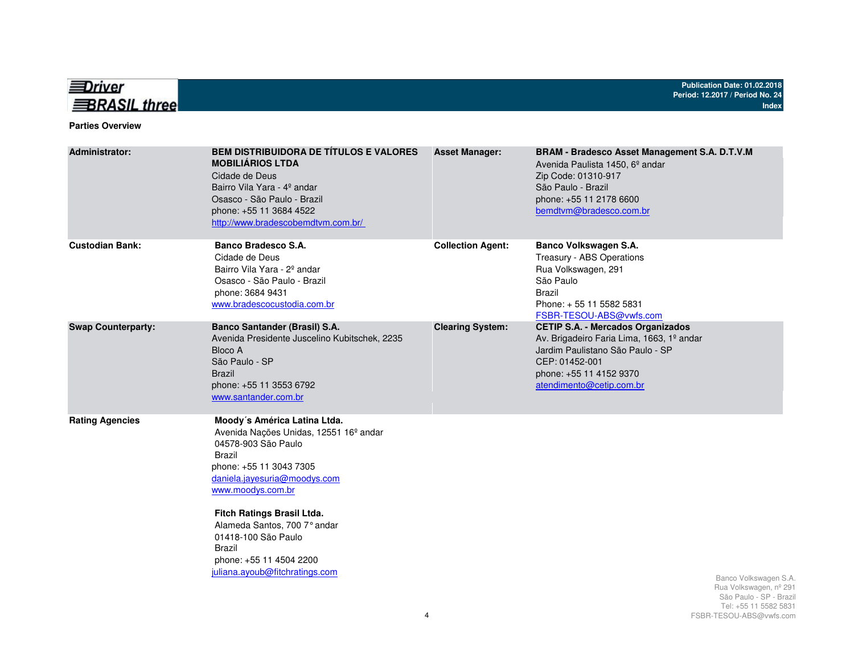

#### **Parties Overview**

| <b>Administrator:</b>     | <b>BEM DISTRIBUIDORA DE TÍTULOS E VALORES</b><br><b>MOBILIÁRIOS LTDA</b><br>Cidade de Deus<br>Bairro Vila Yara - 4º andar<br>Osasco - São Paulo - Brazil<br>phone: +55 11 3684 4522<br>http://www.bradescobemdtvm.com.br/                                                                                                                                              | <b>Asset Manager:</b>    | <b>BRAM - Bradesco Asset Management S.A. D.T.V.M</b><br>Avenida Paulista 1450, 6 <sup>°</sup> andar<br>Zip Code: 01310-917<br>São Paulo - Brazil<br>phone: +55 11 2178 6600<br>bemdtvm@bradesco.com.br |                                                                                                    |
|---------------------------|------------------------------------------------------------------------------------------------------------------------------------------------------------------------------------------------------------------------------------------------------------------------------------------------------------------------------------------------------------------------|--------------------------|--------------------------------------------------------------------------------------------------------------------------------------------------------------------------------------------------------|----------------------------------------------------------------------------------------------------|
| <b>Custodian Bank:</b>    | Banco Bradesco S.A.<br>Cidade de Deus<br>Bairro Vila Yara - 2 <sup>°</sup> andar<br>Osasco - São Paulo - Brazil<br>phone: 3684 9431<br>www.bradescocustodia.com.br                                                                                                                                                                                                     | <b>Collection Agent:</b> | Banco Volkswagen S.A.<br>Treasury - ABS Operations<br>Rua Volkswagen, 291<br>São Paulo<br><b>Brazil</b><br>Phone: +55 11 5582 5831<br>FSBR-TESOU-ABS@vwfs.com                                          |                                                                                                    |
| <b>Swap Counterparty:</b> | <b>Banco Santander (Brasil) S.A.</b><br>Avenida Presidente Juscelino Kubitschek, 2235<br>Bloco A<br>São Paulo - SP<br><b>Brazil</b><br>phone: +55 11 3553 6792<br>www.santander.com.br                                                                                                                                                                                 | <b>Clearing System:</b>  | <b>CETIP S.A. - Mercados Organizados</b><br>Av. Brigadeiro Faria Lima, 1663, 1º andar<br>Jardim Paulistano São Paulo - SP<br>CEP: 01452-001<br>phone: +55 11 4152 9370<br>atendimento@cetip.com.br     |                                                                                                    |
| <b>Rating Agencies</b>    | Moody's América Latina Ltda.<br>Avenida Nações Unidas, 12551 16 <sup>°</sup> andar<br>04578-903 São Paulo<br><b>Brazil</b><br>phone: +55 11 3043 7305<br>daniela.jayesuria@moodys.com<br>www.moodys.com.br<br>Fitch Ratings Brasil Ltda.<br>Alameda Santos, 700 7° andar<br>01418-100 São Paulo<br>Brazil<br>phone: +55 11 4504 2200<br>juliana.ayoub@fitchratings.com |                          |                                                                                                                                                                                                        | Banco Volkswagen S.A.<br>Rua Volkswagen, nº 291<br>São Paulo - SP - Brazil<br>Tel: 55 11 5582 5831 |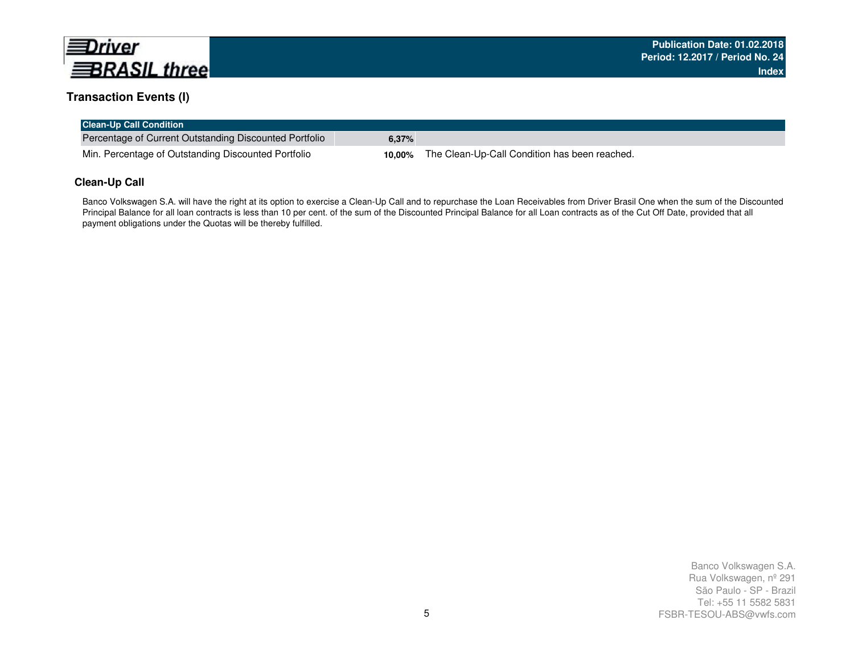

### **Transaction Events (I)**

| <b>Clean-Up Call Condition</b>                         |       |                                                             |
|--------------------------------------------------------|-------|-------------------------------------------------------------|
| Percentage of Current Outstanding Discounted Portfolio | 6.37% |                                                             |
| Min. Percentage of Outstanding Discounted Portfolio    |       | <b>10,00%</b> The Clean-Up-Call Condition has been reached. |

### **Clean-Up Call**

Banco Volkswagen S.A. will have the right at its option to exercise a Clean-Up Call and to repurchase the Loan Receivables from Driver Brasil One when the sum of the Discounted Principal Balance for all loan contracts is less than 10 per cent. of the sum of the Discounted Principal Balance for all Loan contracts as of the Cut Off Date, provided that all payment obligations under the Quotas will be thereby fulfilled.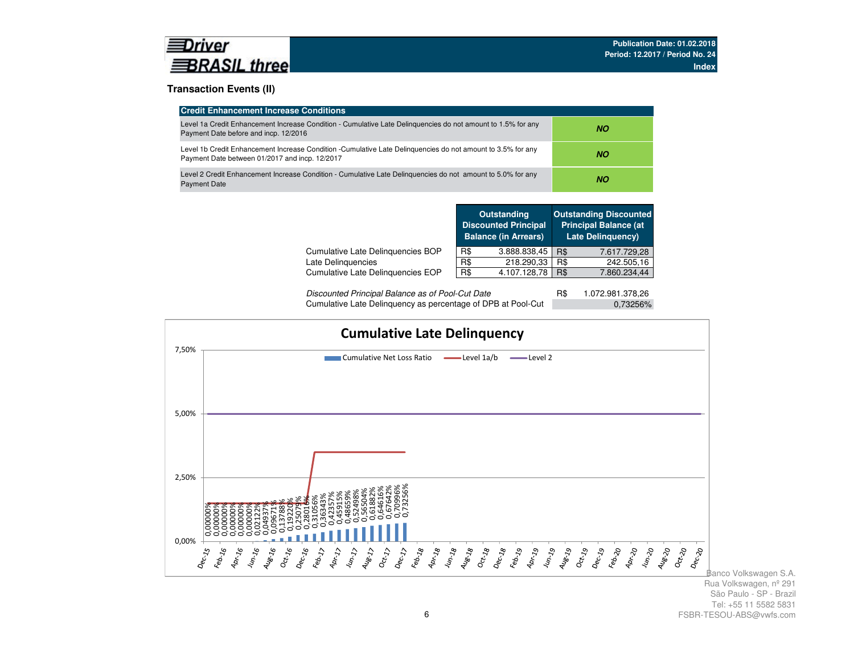

### **Transaction Events (II)**

| <b>Credit Enhancement Increase Conditions</b>                                                                                                                 |     |
|---------------------------------------------------------------------------------------------------------------------------------------------------------------|-----|
| Level 1a Credit Enhancement Increase Condition - Cumulative Late Delinguencies do not amount to 1.5% for any<br>Payment Date before and incp. 12/2016         | NO. |
| Level 1b Credit Enhancement Increase Condition -Cumulative Late Delinguencies do not amount to 3.5% for any<br>Payment Date between 01/2017 and incp. 12/2017 | NO. |
| Level 2 Credit Enhancement Increase Condition - Cumulative Late Delinguencies do not amount to 5.0% for any<br><b>Payment Date</b>                            | ΝO  |

|                                   |     | <b>Outstanding</b><br><b>Discounted Principal</b><br><b>Balance (in Arrears)</b> |     | <b>Outstanding Discounted</b><br><b>Principal Balance (at</b><br><b>Late Delinguency)</b> |
|-----------------------------------|-----|----------------------------------------------------------------------------------|-----|-------------------------------------------------------------------------------------------|
| Cumulative Late Delinquencies BOP | R\$ | 3.888.838,45                                                                     | R\$ | 7.617.729,28                                                                              |
| Late Delinguencies                | R\$ | 218.290,33                                                                       | R\$ | 242.505,16                                                                                |
| Cumulative Late Delinguencies EOP | R\$ | 4.107.128,78                                                                     | R\$ | 7.860.234,44                                                                              |
|                                   |     |                                                                                  |     |                                                                                           |

| Discounted Principal Balance as of Pool-Cut Date             | 1.072.981.378,26 |
|--------------------------------------------------------------|------------------|
| Cumulative Late Delinquency as percentage of DPB at Pool-Cut | 0.73256%         |

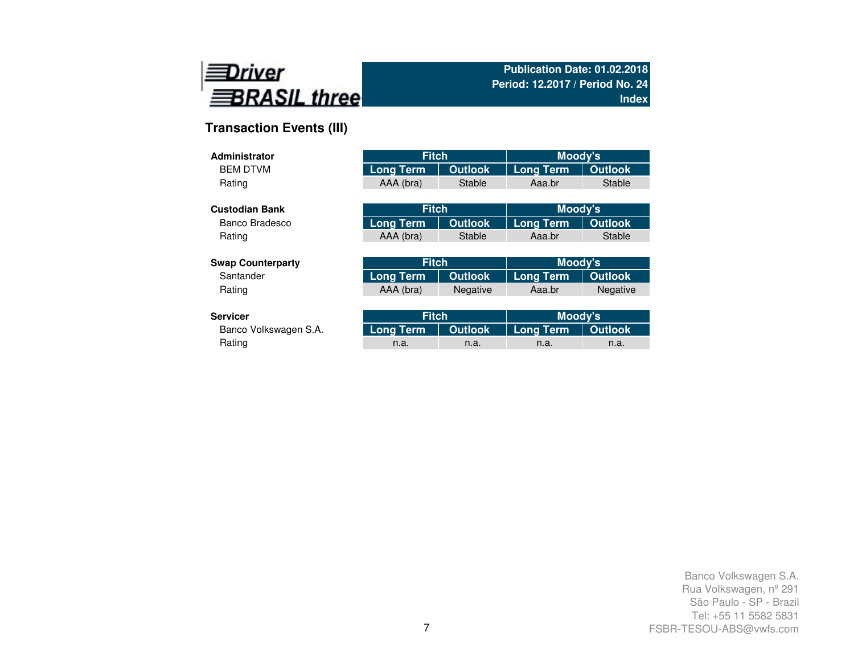

# **Transaction Events (III)**

| Administrator            | <b>Fitch</b>     |                | Moody's          |                 |
|--------------------------|------------------|----------------|------------------|-----------------|
| <b>BEM DTVM</b>          | <b>Long Term</b> | <b>Outlook</b> | <b>Long Term</b> | <b>Outlook</b>  |
| Rating                   | AAA (bra)        | Stable         | Aaa.br           | Stable          |
|                          |                  |                |                  |                 |
| <b>Custodian Bank</b>    | <b>Fitch</b>     |                | Moody's          |                 |
| Banco Bradesco           | Long Term        | <b>Outlook</b> | <b>Long Term</b> | <b>Outlook</b>  |
| Rating                   | AAA (bra)        | Stable         | Aaa.br           | Stable          |
|                          |                  |                |                  |                 |
| <b>Swap Counterparty</b> | <b>Fitch</b>     |                | Moody's          |                 |
| Santander                | <b>Long Term</b> | <b>Outlook</b> | <b>Long Term</b> | <b>Outlook</b>  |
| Rating                   | AAA (bra)        | Negative       | Aaa.br           | <b>Negative</b> |
|                          |                  |                |                  |                 |
| <b>Servicer</b>          | <b>Fitch</b>     |                | <b>Moody's</b>   |                 |
| Banco Volkswagen S.A.    | Long Term        | <b>Outlook</b> | <b>Long Term</b> | <b>Outlook</b>  |
| Rating                   | n.a.             | n.a.           | n.a.             | n.a.            |

Rating and the method of the method is a method in the method in the method in the method in  $n$  a. In the method in  $n$  a.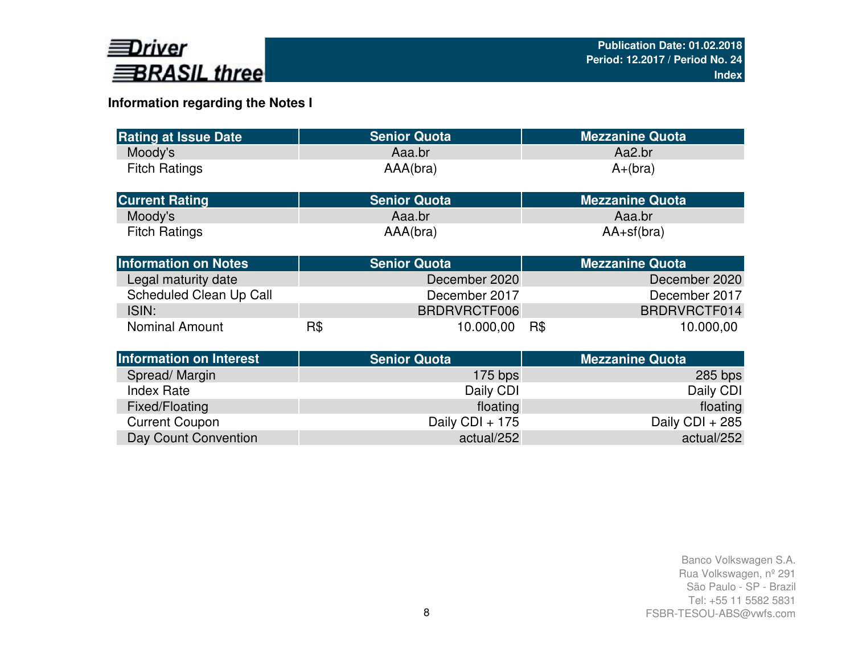

# **Information regarding the Notes I**

| <b>Rating at Issue Date</b>    |     | <b>Senior Quota</b> | <b>Mezzanine Quota</b> |
|--------------------------------|-----|---------------------|------------------------|
| Moody's                        |     | Aaa.br              | Aa2.br                 |
| <b>Fitch Ratings</b>           |     | AAA(bra)            | $A+(bra)$              |
| <b>Current Rating</b>          |     | <b>Senior Quota</b> | <b>Mezzanine Quota</b> |
| Moody's                        |     | Aaa.br              | Aaa.br                 |
| <b>Fitch Ratings</b>           |     | AAA(bra)            | $AA+sf(bra)$           |
| <b>Information on Notes</b>    |     | <b>Senior Quota</b> | <b>Mezzanine Quota</b> |
| Legal maturity date            |     | December 2020       | December 2020          |
| Scheduled Clean Up Call        |     | December 2017       | December 2017          |
| ISIN:                          |     | BRDRVRCTF006        | BRDRVRCTF014           |
| <b>Nominal Amount</b>          | R\$ | 10.000,00           | R\$<br>10.000,00       |
| <b>Information on Interest</b> |     | <b>Senior Quota</b> | <b>Mezzanine Quota</b> |
| Spread/Margin                  |     | $175$ bps           | $285$ bps              |
| <b>Index Rate</b>              |     | Daily CDI           | Daily CDI              |
| Fixed/Floating                 |     | floating            | floating               |
| <b>Current Coupon</b>          |     | Daily CDI + 175     | Daily CDI + 285        |
| Day Count Convention           |     | actual/252          | actual/252             |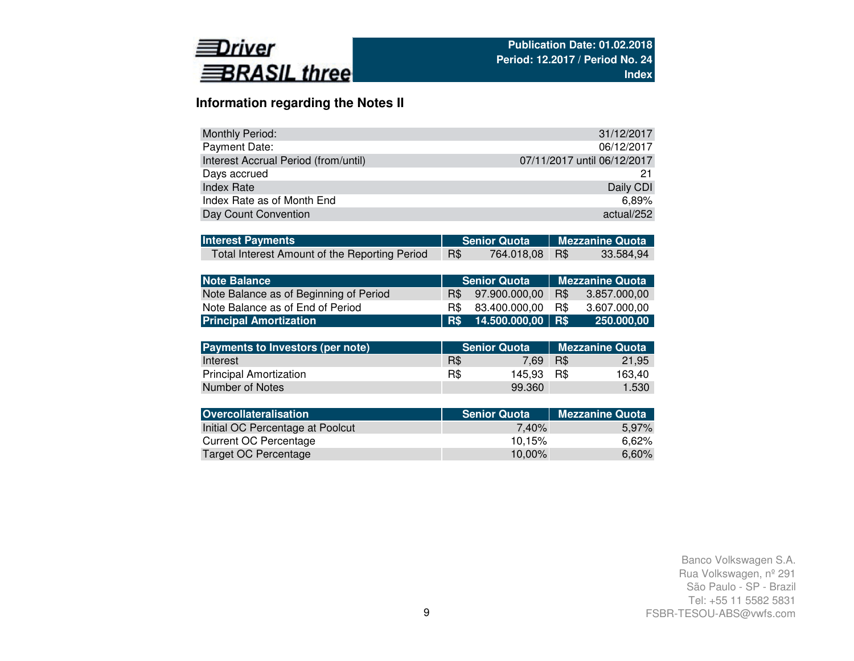

# **Information regarding the Notes II**

| Monthly Period:                      | 31/12/2017                  |
|--------------------------------------|-----------------------------|
| Payment Date:                        | 06/12/2017                  |
| Interest Accrual Period (from/until) | 07/11/2017 until 06/12/2017 |
| Days accrued                         |                             |
| Index Rate                           | Daily CDI                   |
| Index Rate as of Month End           | 6.89%                       |
| Day Count Convention                 | actual/252                  |

| <b>Interest Payments</b>                      |            | Senior Quota Mezzanine Quota |           |
|-----------------------------------------------|------------|------------------------------|-----------|
| Total Interest Amount of the Reporting Period | <b>R\$</b> | 764.018,08 R\$               | 33.584,94 |

| Note Balance                           |     | <b>Senior Quota</b>     | <b>Mezzanine Quota</b> |              |  |  |  |  |
|----------------------------------------|-----|-------------------------|------------------------|--------------|--|--|--|--|
| Note Balance as of Beginning of Period | R\$ | 97.900.000.00           | R\$                    | 3.857.000.00 |  |  |  |  |
| Note Balance as of End of Period       |     | R\$ 83.400.000.00       | R\$                    | 3.607.000.00 |  |  |  |  |
| <b>Principal Amortization</b>          |     | R\$ 14.500.000,00   R\$ |                        | 250.000,00   |  |  |  |  |

| Payments to Investors (per note) |     | <b>Senior Quota</b> | <b>Mezzanine Quota</b> |        |  |  |  |
|----------------------------------|-----|---------------------|------------------------|--------|--|--|--|
| Interest                         | R\$ | 7.69                | R\$                    | 21.95  |  |  |  |
| <b>Principal Amortization</b>    | R\$ | 145.93              | - R\$                  | 163.40 |  |  |  |
| Number of Notes                  |     | 99.360              |                        | 1.530  |  |  |  |

| <b>Senior Quota</b> | <b>Mezzanine Quota</b> |
|---------------------|------------------------|
| 7.40%               | 5,97%                  |
| 10.15%              | 6.62%                  |
| 10.00%              | 6,60%                  |
|                     |                        |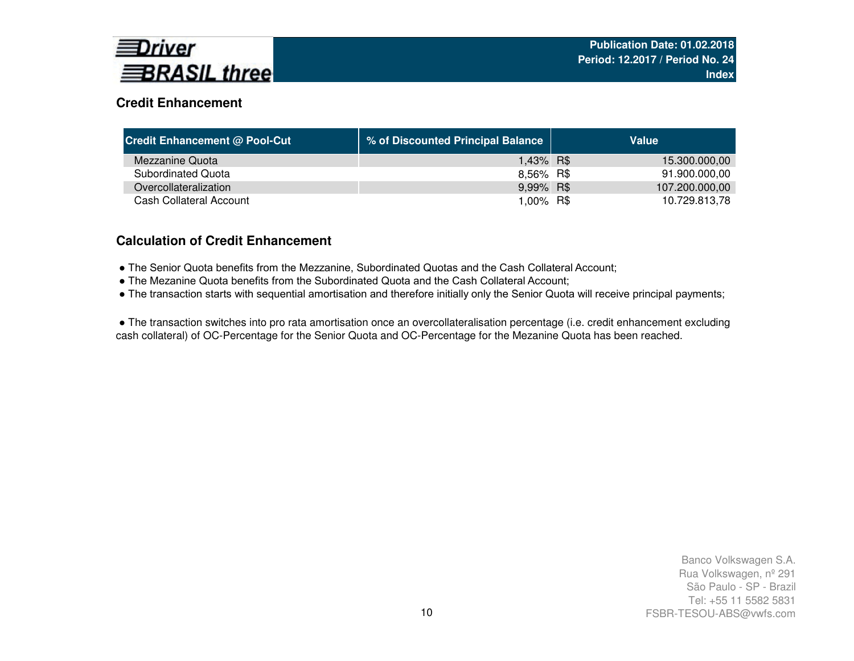

# **Credit Enhancement**

| <b>Credit Enhancement @ Pool-Cut</b> | % of Discounted Principal Balance | Value          |
|--------------------------------------|-----------------------------------|----------------|
| Mezzanine Quota                      | 1,43% R\$                         | 15.300.000,00  |
| Subordinated Quota                   | 8,56% R\$                         | 91.900.000,00  |
| Overcollateralization                | 9,99% R\$                         | 107.200.000,00 |
| Cash Collateral Account              | 1,00% R\$                         | 10.729.813,78  |

## **Calculation of Credit Enhancement**

- The Senior Quota benefits from the Mezzanine, Subordinated Quotas and the Cash Collateral Account;
- The Mezanine Quota benefits from the Subordinated Quota and the Cash Collateral Account;
- The transaction starts with sequential amortisation and therefore initially only the Senior Quota will receive principal payments;

● The transaction switches into pro rata amortisation once an overcollateralisation percentage (i.e. credit enhancement excluding cash collateral) of OC-Percentage for the Senior Quota and OC-Percentage for the Mezanine Quota has been reached.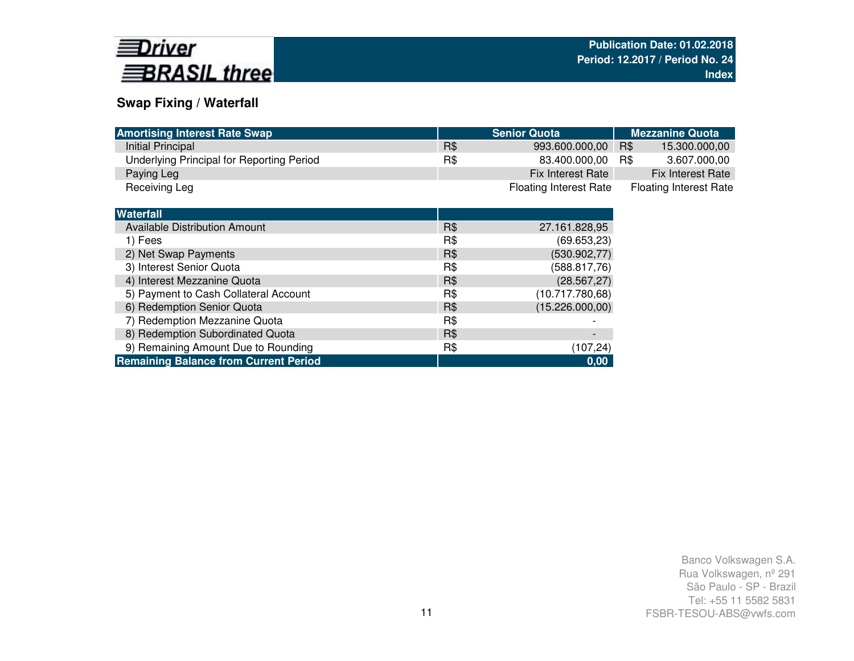

# **Swap Fixing / Waterfall**

| <b>Amortising Interest Rate Swap</b>         |     | <b>Senior Quota</b>           | <b>Mezzanine Quota</b>        |
|----------------------------------------------|-----|-------------------------------|-------------------------------|
| Initial Principal                            | R\$ | 993.600.000,00                | R\$<br>15.300.000,00          |
| Underlying Principal for Reporting Period    | R\$ | 83.400.000,00                 | 3.607.000,00<br>R\$           |
| Paying Leg                                   |     | Fix Interest Rate             | Fix Interest Rate             |
| Receiving Leg                                |     | <b>Floating Interest Rate</b> | <b>Floating Interest Rate</b> |
|                                              |     |                               |                               |
| <b>Waterfall</b>                             |     |                               |                               |
| Available Distribution Amount                | R\$ | 27.161.828,95                 |                               |
| 1) Fees                                      | R\$ | (69.653,23)                   |                               |
| 2) Net Swap Payments                         | R\$ | (530.902, 77)                 |                               |
| 3) Interest Senior Quota                     | R\$ | (588.817,76)                  |                               |
| 4) Interest Mezzanine Quota                  | R\$ | (28.567, 27)                  |                               |
| 5) Payment to Cash Collateral Account        | R\$ | (10.717.780,68)               |                               |
| 6) Redemption Senior Quota                   | R\$ | (15.226.000,00)               |                               |
| 7) Redemption Mezzanine Quota                | R\$ |                               |                               |
| 8) Redemption Subordinated Quota             | R\$ | $\overline{\phantom{a}}$      |                               |
| 9) Remaining Amount Due to Rounding          | R\$ | (107, 24)                     |                               |
| <b>Remaining Balance from Current Period</b> |     | 0,00                          |                               |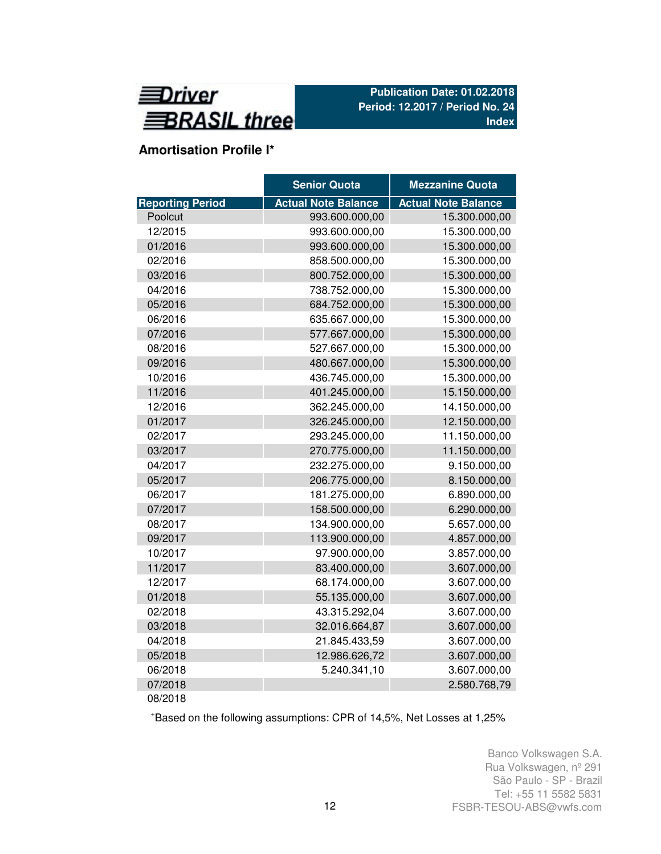

# **Amortisation Profile I\***

|                         | <b>Senior Quota</b>        | <b>Mezzanine Quota</b>     |
|-------------------------|----------------------------|----------------------------|
| <b>Reporting Period</b> | <b>Actual Note Balance</b> | <b>Actual Note Balance</b> |
| Poolcut                 | 993.600.000,00             | 15.300.000,00              |
| 12/2015                 | 993.600.000,00             | 15.300.000,00              |
| 01/2016                 | 993.600.000,00             | 15.300.000,00              |
| 02/2016                 | 858.500.000,00             | 15.300.000,00              |
| 03/2016                 | 800.752.000,00             | 15.300.000,00              |
| 04/2016                 | 738.752.000,00             | 15.300.000,00              |
| 05/2016                 | 684.752.000,00             | 15.300.000,00              |
| 06/2016                 | 635.667.000,00             | 15.300.000,00              |
| 07/2016                 | 577.667.000,00             | 15.300.000,00              |
| 08/2016                 | 527.667.000,00             | 15.300.000,00              |
| 09/2016                 | 480.667.000,00             | 15.300.000,00              |
| 10/2016                 | 436.745.000,00             | 15.300.000,00              |
| 11/2016                 | 401.245.000,00             | 15.150.000,00              |
| 12/2016                 | 362.245.000,00             | 14.150.000,00              |
| 01/2017                 | 326.245.000,00             | 12.150.000,00              |
| 02/2017                 | 293.245.000,00             | 11.150.000,00              |
| 03/2017                 | 270.775.000,00             | 11.150.000,00              |
| 04/2017                 | 232.275.000,00             | 9.150.000,00               |
| 05/2017                 | 206.775.000,00             | 8.150.000,00               |
| 06/2017                 | 181.275.000,00             | 6.890.000,00               |
| 07/2017                 | 158.500.000,00             | 6.290.000,00               |
| 08/2017                 | 134.900.000,00             | 5.657.000,00               |
| 09/2017                 | 113.900.000,00             | 4.857.000,00               |
| 10/2017                 | 97.900.000,00              | 3.857.000,00               |
| 11/2017                 | 83.400.000,00              | 3.607.000,00               |
| 12/2017                 | 68.174.000,00              | 3.607.000,00               |
| 01/2018                 | 55.135.000,00              | 3.607.000,00               |
| 02/2018                 | 43.315.292,04              | 3.607.000,00               |
| 03/2018                 | 32.016.664,87              | 3.607.000,00               |
| 04/2018                 | 21.845.433,59              | 3.607.000,00               |
| 05/2018                 | 12.986.626,72              | 3.607.000,00               |
| 06/2018                 | 5.240.341,10               | 3.607.000,00               |
| 07/2018                 |                            | 2.580.768,79               |
| 08/2018                 |                            |                            |

<sup>+</sup>Based on the following assumptions: CPR of 14,5%, Net Losses at 1,25%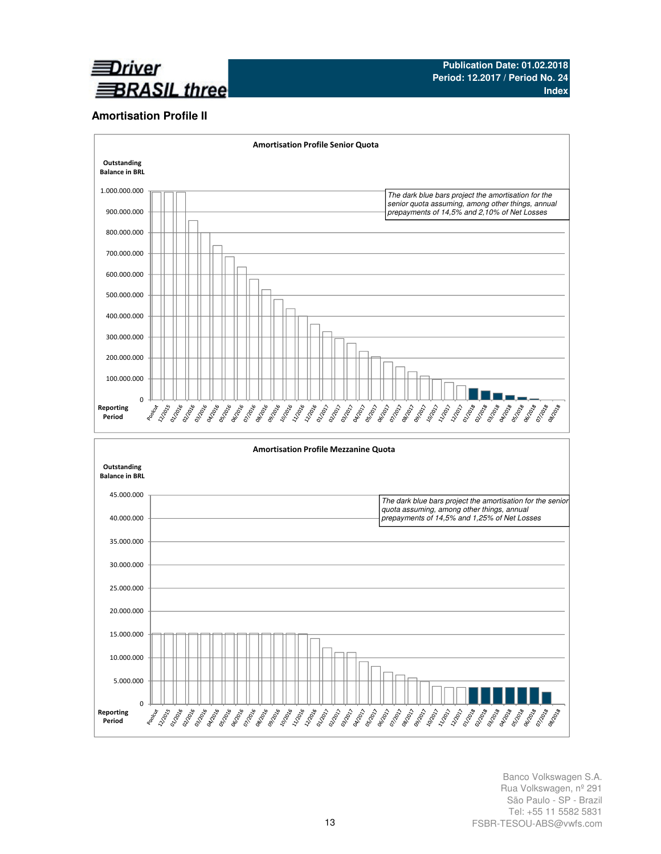

### **Amortisation Profile II**

0

Reporting Period



Banco Volkswagen S.A. Rua Volkswagen, nº 291 São Paulo - SP - Brazil Tel: +55 11 5582 5831 FSBR-TESOU-ABS@vwfs.com

**PARTHER** 

**Daniel PATOR**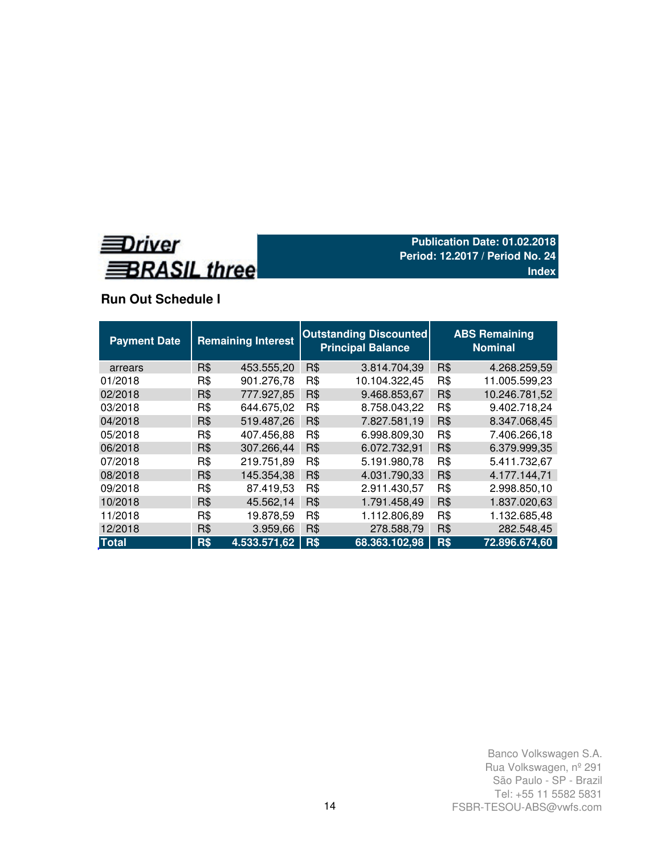

# **Run Out Schedule I**

| <b>Payment Date</b> |     | <b>Remaining Interest</b> |     | <b>Outstanding Discounted</b><br><b>Principal Balance</b> | <b>ABS Remaining</b><br><b>Nominal</b> |               |  |  |  |
|---------------------|-----|---------------------------|-----|-----------------------------------------------------------|----------------------------------------|---------------|--|--|--|
| arrears             | R\$ | 453.555,20                | R\$ | 3.814.704,39                                              | R\$                                    | 4.268.259,59  |  |  |  |
| 01/2018             | R\$ | 901.276,78                | R\$ | 10.104.322,45                                             | R\$                                    | 11.005.599,23 |  |  |  |
| 02/2018             | R\$ | 777.927,85                | R\$ | 9.468.853,67                                              | R\$                                    | 10.246.781,52 |  |  |  |
| 03/2018             | R\$ | 644.675,02                | R\$ | 8.758.043,22                                              | R\$                                    | 9.402.718,24  |  |  |  |
| 04/2018             | R\$ | 519.487,26                | R\$ | 7.827.581,19                                              | R\$                                    | 8.347.068,45  |  |  |  |
| 05/2018             | R\$ | 407.456,88                | R\$ | 6.998.809,30                                              | R\$                                    | 7.406.266,18  |  |  |  |
| 06/2018             | R\$ | 307.266,44                | R\$ | 6.072.732,91                                              | R\$                                    | 6.379.999.35  |  |  |  |
| 07/2018             | R\$ | 219.751,89                | R\$ | 5.191.980.78                                              | R\$                                    | 5.411.732,67  |  |  |  |
| 08/2018             | R\$ | 145.354,38                | R\$ | 4.031.790,33                                              | R\$                                    | 4.177.144,71  |  |  |  |
| 09/2018             | R\$ | 87.419,53                 | R\$ | 2.911.430,57                                              | R\$                                    | 2.998.850,10  |  |  |  |
| 10/2018             | R\$ | 45.562,14                 | R\$ | 1.791.458,49                                              | R\$                                    | 1.837.020,63  |  |  |  |
| 11/2018             | R\$ | 19.878,59                 | R\$ | 1.112.806,89                                              | R\$                                    | 1.132.685,48  |  |  |  |
| 12/2018             | R\$ | 3.959,66                  | R\$ | 278.588,79                                                | R\$                                    | 282.548,45    |  |  |  |
| <b>Total</b>        | R\$ | 4.533.571.62              | R\$ | 68.363.102,98                                             | R\$                                    | 72.896.674,60 |  |  |  |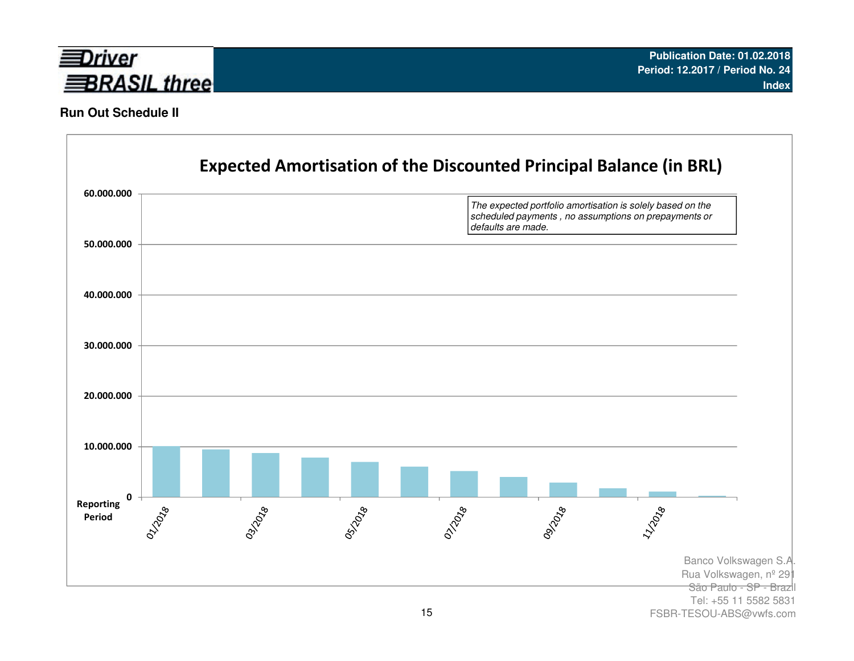

## **Run Out Schedule II**



FSBR-TESOU-ABS@vwfs.com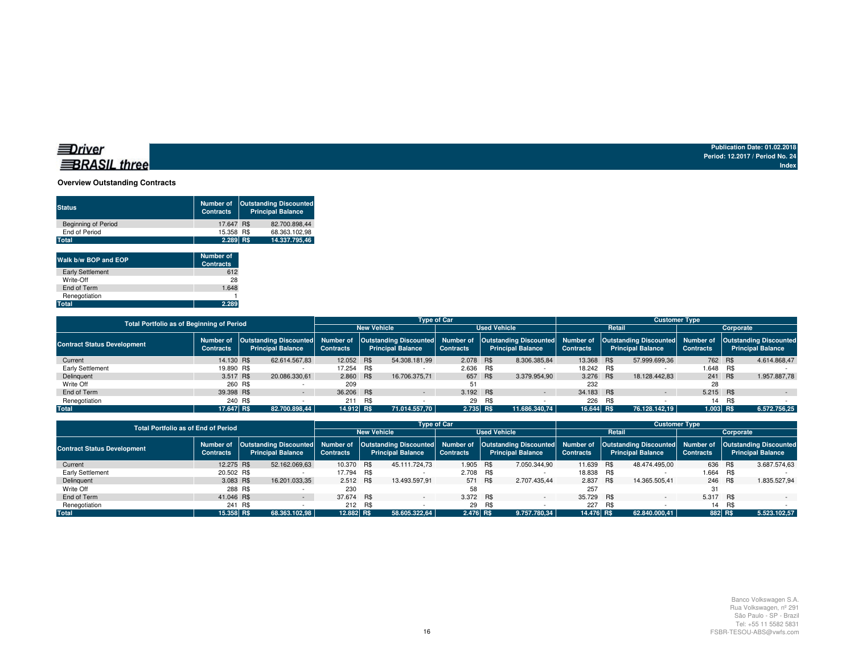### **BRASIL** three

**Publication Date: 01.02.2018 Period: 12.2017 / Period No. 24Index**

### **Overview Outstanding Contracts**

| <b>Status</b>              | <b>Number of</b><br><b>Contracts</b> | <b>Outstanding Discounted</b><br><b>Principal Balance</b> |
|----------------------------|--------------------------------------|-----------------------------------------------------------|
| <b>Beginning of Period</b> | 17.647 R\$                           | 82.700.898.44                                             |
| End of Period              | 15.358 R\$                           | 68.363.102.98                                             |
| Total                      | $2.289$ R\$                          | 14.337.795.46                                             |
|                            |                                      |                                                           |

| Walk b/w BOP and EOP    | <b>Number of</b><br><b>Contracts</b> |
|-------------------------|--------------------------------------|
| <b>Early Settlement</b> | 612                                  |
| Write-Off               | 28                                   |
| End of Term             | 1.648                                |
| Renegotiation           |                                      |
| Total                   | 2.289                                |

| <b>Total Portfolio as of Beginning of Period</b> |                                                                                               |         |               | <b>Type of Car</b> |     |                          |                     |     |                          |                  | <b>Customer Type</b>                                                                                                                                  |               |           |     |                  |  |                          |
|--------------------------------------------------|-----------------------------------------------------------------------------------------------|---------|---------------|--------------------|-----|--------------------------|---------------------|-----|--------------------------|------------------|-------------------------------------------------------------------------------------------------------------------------------------------------------|---------------|-----------|-----|------------------|--|--------------------------|
|                                                  |                                                                                               |         |               |                    |     | <b>New Vehicle</b>       | <b>Used Vehicle</b> |     |                          |                  |                                                                                                                                                       | Retail        | Corporate |     |                  |  |                          |
| <b>Contract Status Development</b>               | Outstanding Discounted Number of<br>Number of<br><b>Principal Balance</b><br><b>Contracts</b> |         |               | <b>Contracts</b>   |     | <b>Principal Balance</b> | <b>Contracts</b>    |     | <b>Principal Balance</b> | <b>Contracts</b> | Outstanding Discounted Number of Outstanding Discounted Number of Outstanding Discounted Number of Outstanding Discounted<br><b>Principal Balance</b> |               |           |     | <b>Contracts</b> |  | <b>Principal Balance</b> |
| Current                                          | 14.130 R\$                                                                                    |         | 62.614.567.83 | 12.052 R\$         |     | 54.308.181.99            | 2.078 R\$           |     | 8.306.385.84             | 13.368 R\$       |                                                                                                                                                       | 57.999.699.36 | 762 R\$   |     | 4.614.868.47     |  |                          |
| Early Settlement                                 | 19,890 R\$                                                                                    |         |               | 17.254 R\$         |     |                          | 2.636 R\$           |     |                          | 18.242 R\$       |                                                                                                                                                       |               | 1.648 R\$ |     |                  |  |                          |
| Delinquent                                       | 3.517 R\$                                                                                     |         | 20.086.330.61 | 2.860 R\$          |     | 16.706.375.71            | 657 R\$             |     | 3.379.954.90             | 3.276 R\$        |                                                                                                                                                       | 18.128.442.83 | 241 R\$   |     | 1.957.887.78     |  |                          |
| Write Off                                        |                                                                                               | 260 R\$ |               | 209                |     |                          | 51                  |     |                          | 232              |                                                                                                                                                       |               | 28        |     |                  |  |                          |
| End of Term                                      | 39.398 R\$                                                                                    |         |               | 36,206 R\$         |     | $\sim$                   | 3.192 R\$           |     | $\sim$                   | 34.183 R\$       |                                                                                                                                                       | $\sim$        | 5.215 R\$ |     | $\sim$           |  |                          |
| Renegotiation                                    |                                                                                               | 240 R\$ |               | 211                | R\$ |                          | 29                  | R\$ |                          | 226              | R\$                                                                                                                                                   |               | 14        | R\$ |                  |  |                          |
| <b>Total</b>                                     | 17.647 R\$                                                                                    |         | 82.700.898.44 | 14.912 R\$         |     | 71.014.557.70            | $2.735$ R\$         |     | 11.686.340.74            | 16.644 R\$       |                                                                                                                                                       | 76.128.142.19 | 1.003 R\$ |     | 6.572.756,25     |  |                          |

| <b>Total Portfolio as of End of Period</b> |                               |         |                          |                  |                          | <b>Type of Car</b>  |                                                                                                                                                                                                 |              | <b>Customer Type</b> |                          |                          |                  |     |                          |  |
|--------------------------------------------|-------------------------------|---------|--------------------------|------------------|--------------------------|---------------------|-------------------------------------------------------------------------------------------------------------------------------------------------------------------------------------------------|--------------|----------------------|--------------------------|--------------------------|------------------|-----|--------------------------|--|
|                                            |                               |         |                          |                  | <b>New Vehicle</b>       | <b>Used Vehicle</b> |                                                                                                                                                                                                 |              |                      | Retail                   |                          | Corporate        |     |                          |  |
| <b>Contract Status Development</b>         | Number of<br><b>Contracts</b> |         | <b>Principal Balance</b> | <b>Contracts</b> | <b>Principal Balance</b> | <b>Contracts</b>    | Outstanding Discounted  Number of  Outstanding Discounted  Number of  Outstanding Discounted  Number of  Outstanding Discounted  Number of  Outstanding Discounted <br><b>Principal Balance</b> |              | <b>Contracts</b>     | <b>Principal Balance</b> |                          | <b>Contracts</b> |     | <b>Principal Balance</b> |  |
| Current                                    | 12.275 R\$                    |         | 52.162.069,63            | 10.370 R\$       | 45.111.724.73            | 1.905               | <b>R\$</b>                                                                                                                                                                                      | 7.050.344.90 | 11.639 R\$           |                          | 48.474.495.00            | 636 R\$          |     | 3.687.574,63             |  |
| <b>Early Settlement</b>                    | 20.502 R\$                    |         |                          | 17.794 R\$       |                          | 2.708 R\$           |                                                                                                                                                                                                 |              | 18.838 R\$           |                          |                          | 1.664 R\$        |     |                          |  |
| Delinquent                                 | 3.083 R\$                     |         | 16.201.033,35            | 2.512 R\$        | 13.493.597.91            | 571                 | R\$                                                                                                                                                                                             | 2.707.435.44 | 2.837 R\$            |                          | 14.365.505.41            | 246 R\$          |     | 1.835.527,94             |  |
| Write Off                                  |                               | 288 R\$ |                          | 230              |                          | 58                  |                                                                                                                                                                                                 |              | 257                  |                          |                          | -31              |     |                          |  |
| End of Term                                | 41.046 R\$                    |         |                          | 37.674 R\$       |                          | 3.372 R\$           |                                                                                                                                                                                                 | $\sim$       | 35.729 R\$           |                          | $\overline{\phantom{0}}$ | 5.317 R\$        |     |                          |  |
| Renegotiation                              |                               | 241 R\$ |                          | 212 R\$          |                          |                     | 29 R\$                                                                                                                                                                                          |              | 227                  | R\$                      |                          | 14               | R\$ |                          |  |
| <b>Total</b>                               | 15.358 RS                     |         | 68.363.102.98            | 12.882 R\$       | 58.605.322.64            | $2.476$ R\$         |                                                                                                                                                                                                 | 9.757.780.34 | 14.476 R\$           |                          | 62.840.000.41            | 882 R\$          |     | 5.523.102.57             |  |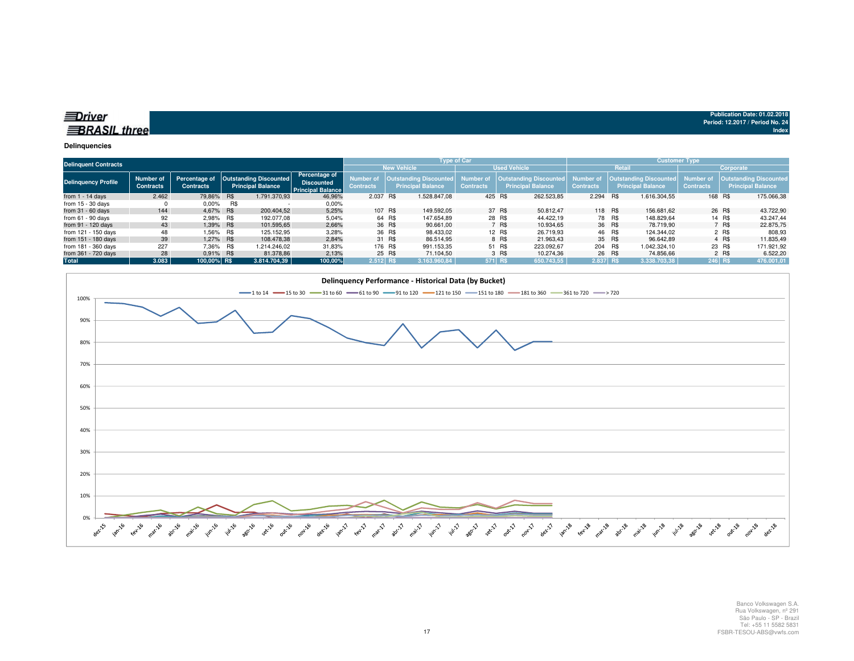| <b>BRASIL three</b> |  |
|---------------------|--|

| <b>Delinquent Contracts</b> |                               |                  |           |                                                                    |                                                                |                    | <b>Type of Car</b> |                                                                            |                  |         | <b>Customer Type</b>                               |                              |        |                                                            |                               |         |                                                           |
|-----------------------------|-------------------------------|------------------|-----------|--------------------------------------------------------------------|----------------------------------------------------------------|--------------------|--------------------|----------------------------------------------------------------------------|------------------|---------|----------------------------------------------------|------------------------------|--------|------------------------------------------------------------|-------------------------------|---------|-----------------------------------------------------------|
|                             |                               |                  |           |                                                                    |                                                                | <b>New Vehicle</b> |                    |                                                                            |                  |         | <b>Used Vehicle</b><br>Retail                      |                              |        |                                                            | Corporate                     |         |                                                           |
| <b>Delinquency Profile</b>  | Number of<br><b>Contracts</b> | <b>Contracts</b> |           | Percentage of   Outstanding Discounted<br><b>Principal Balance</b> | Percentage of<br><b>Discounted</b><br><b>Principal Balance</b> | Contracts          |                    | Number of   Outstanding Discounted   Number of<br><b>Principal Balance</b> | <b>Contracts</b> |         | Outstanding Discounted<br><b>Principal Balance</b> | Number o<br><b>Contracts</b> |        | <b>Outstanding Discounted,</b><br><b>Principal Balance</b> | Number of<br><b>Contracts</b> |         | <b>Outstanding Discounted</b><br><b>Principal Balance</b> |
| from $1 - 14$ days          | 2.462                         | 79.86% R\$       |           | 1.791.370.93                                                       | 46,96%                                                         | 2.037 R\$          |                    | 1.528.847.08                                                               | 425 R\$          |         | 262.523,85                                         | 2.294 R\$                    |        | 1.616.304.55                                               |                               | 168 R\$ | 175.066,38                                                |
| from $15 - 30$ days         |                               | $0.00\%$         | R\$       |                                                                    | 0.00%                                                          |                    |                    |                                                                            |                  |         |                                                    |                              |        |                                                            |                               |         |                                                           |
| from $31 - 60$ days         | 144                           | 4.67% R\$        |           | 200.404.52                                                         | 5,25%                                                          |                    | 107 R\$            | 149.592.05                                                                 |                  | 37 R\$  | 50.812.47                                          | 118 R\$                      |        | 156.681.62                                                 |                               | 26 R\$  | 43.722,90                                                 |
| from $61 - 90$ days         | 92                            | 2.98% R\$        |           | 192.077.08                                                         | 5,04%                                                          |                    | 64 R\$             | 147.654.89                                                                 |                  | 28 R\$  | 44.422.19                                          |                              | 78 R\$ | 148.829.64                                                 |                               | 14 R\$  | 43.247.44                                                 |
| from 91 - 120 days          | 43                            | 1.39% R\$        |           | 101.595,65                                                         | 2,66%                                                          |                    | 36 R\$             | 90.661.00                                                                  |                  | 7 R\$   | 10.934.65                                          |                              | 36 R\$ | 78.719.90                                                  |                               | 7 R\$   | 22.875,75                                                 |
| from 121 - 150 days         | 48                            |                  | 1.56% R\$ | 125.152.95                                                         | 3,28%                                                          |                    | 36 R\$             | 98.433.02                                                                  |                  | 12 R\$  | 26.719.93                                          |                              | 46 R\$ | 124.344.02                                                 |                               | 2 R\$   | 808,93                                                    |
| from 151 - 180 days         | 39                            | 1.27% R\$        |           | 108.478.38                                                         | 2.84%                                                          |                    | 31 R\$             | 86.514.95                                                                  |                  | 8 R\$   | 21.963.43                                          |                              | 35 R\$ | 96.642.89                                                  |                               | 4 R\$   | 11.835.49                                                 |
| from 181 - 360 days         | 227                           | 7.36% R\$        |           | 1.214.246.02                                                       | 31,83%                                                         |                    | 176 R\$            | 991.153.35                                                                 |                  | 51 R\$  | 223.092.67                                         | 204 R\$                      |        | 1.042.324.10                                               |                               | 23 R\$  | 171.921,92                                                |
| from 361 - 720 days         | 28                            | 0.91% R\$        |           | 81.378.86                                                          | 2,13%                                                          |                    | 25 R\$             | 71.104.50                                                                  |                  | 3 R\$   | 10.274.36                                          |                              | 26 R\$ | 74.856.66                                                  |                               | 2 R\$   | 6.522,20                                                  |
| Total                       | 3.083                         | 100.00% R\$      |           | 3.814.704.39                                                       | 100,00%                                                        | 2.512 R\$          |                    | 3.163.960.84                                                               |                  | 571 R\$ | 650.743,55                                         | $2.837$ R\$                  |        | 3.338.703,38                                               |                               | 246 R\$ | 476.001,01                                                |



Banco Volkswagen S.A. Rua Volkswagen, nº 291 São Paulo - SP - Brazil Tel: +55 11 5582 5831FSBR-TESOU-ABS@vwfs.com

**Publication Date: 01.02.2018Period: 12.2017 / Period No. 24**

**Index**

17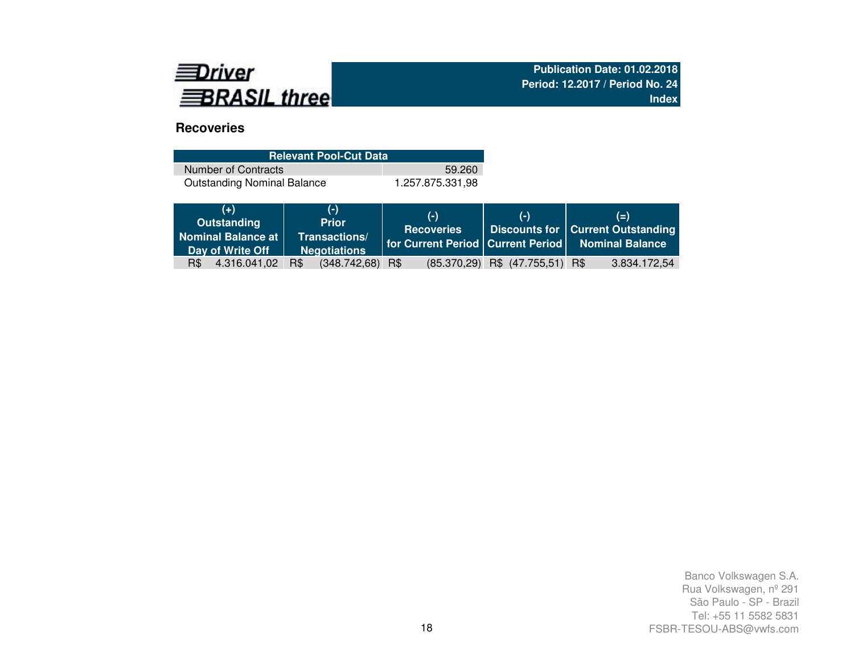

# **Recoveries**

| <b>Relevant Pool-Cut Data</b>      |                  |
|------------------------------------|------------------|
| Number of Contracts                | 59.260           |
| <b>Outstanding Nominal Balance</b> | 1.257.875.331.98 |

| $(+)$<br>Outstanding<br>Nominal Balance at<br>Day of Write Off | $(-)$<br><b>Prior</b><br>Transactions/<br><b>Negotiations</b> | $(-)$<br><b>Recoveries</b> | $(-)$                               | $(=)$<br>Discounts for   Current Outstanding<br>   for Current Period   Current Period   Nominal Balance |
|----------------------------------------------------------------|---------------------------------------------------------------|----------------------------|-------------------------------------|----------------------------------------------------------------------------------------------------------|
| R\$ 4.316.041,02                                               | $(348.742,68)$ R\$<br>R\$                                     |                            | $(85.370.29)$ R\$ $(47.755.51)$ R\$ | 3.834.172,54                                                                                             |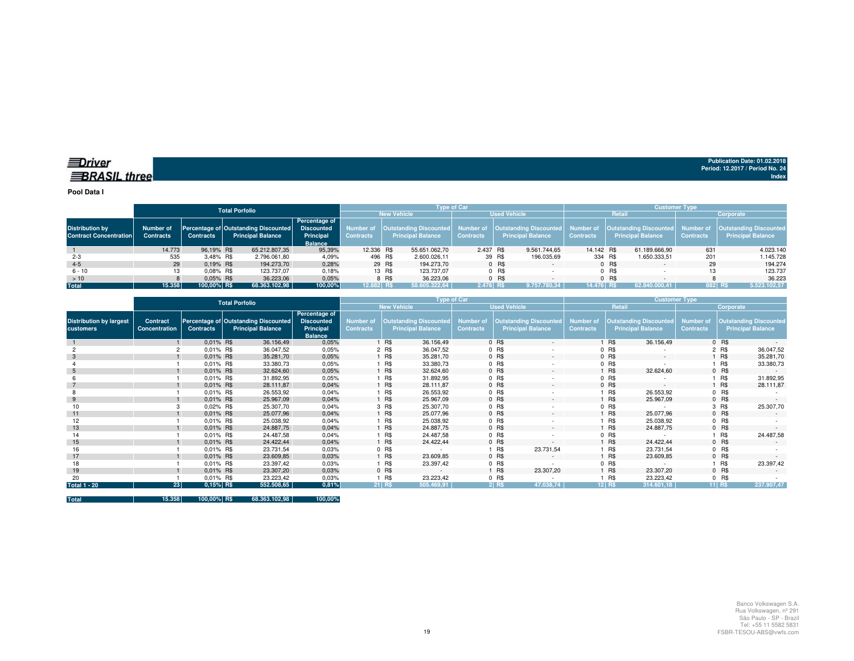**Pool Data I**

|                                                         |                               |                                                          | Total Porfolio |                          |                                                                   |            |                    |                          | <b>Tvpe of Car</b> |        |                                                                                                       | <b>Customer Type</b> |         |                                                                  |                               |                                                           |  |  |
|---------------------------------------------------------|-------------------------------|----------------------------------------------------------|----------------|--------------------------|-------------------------------------------------------------------|------------|--------------------|--------------------------|--------------------|--------|-------------------------------------------------------------------------------------------------------|----------------------|---------|------------------------------------------------------------------|-------------------------------|-----------------------------------------------------------|--|--|
|                                                         |                               |                                                          |                |                          |                                                                   |            | <b>New Vehicle</b> | <b>Used Vehicle</b>      |                    |        |                                                                                                       | Retail               |         |                                                                  | Corporate                     |                                                           |  |  |
| <b>Distribution by</b><br><b>Contract Concentration</b> | Number of<br><b>Contracts</b> | Percentage of Outstanding Discounted<br><b>Contracts</b> |                | <b>Principal Balance</b> | Percentage of<br><b>Discounted</b><br>Principal<br><b>Balance</b> | Contracts  |                    | <b>Principal Balance</b> | <b>Contracts</b>   |        | Number of   Outstanding Discounted   Number of   Outstanding Discounted  <br><b>Principal Balance</b> | <b>Contracts</b>     |         | Number of   Outstanding Discounted  <br><b>Principal Balance</b> | Number of<br><b>Contracts</b> | <b>Outstanding Discounted</b><br><b>Principal Balance</b> |  |  |
|                                                         | 14.773                        | 96.19% R\$                                               |                | 65.212.807,35            | 95.39%                                                            | 12.336 R\$ |                    | 55.651.062,70            | 2.437 R\$          |        | 9.561.744.65                                                                                          | 14.142 R\$           |         | 61.189.666.90                                                    | 631                           | 4.023.140                                                 |  |  |
| $2 - 3$                                                 | 535                           | 3,48% R\$                                                |                | 2.796.061,80             | 4,09%                                                             | 496 R\$    |                    | 2.600.026,11             |                    | 39 R\$ | 196.035,69                                                                                            | 334 R\$              |         | 1.650.333,51                                                     | 201                           | 1.145.728                                                 |  |  |
| $4 - 5$                                                 | 29                            | $0.19\%$ R\$                                             |                | 194.273,70               | 0,28%                                                             |            | 29 R\$             | 194.273.70               |                    | 0 R\$  |                                                                                                       |                      | 0 R\$   |                                                                  | 29                            | 194.274                                                   |  |  |
| $6 - 10$                                                | 13                            | $0.08\%$ R\$                                             |                | 123.737.07               | 0,18%                                                             |            | 13 R\$             | 123.737.07               |                    | 0 R\$  |                                                                                                       |                      | $0$ R\$ |                                                                  |                               | 123.737                                                   |  |  |
| >10                                                     |                               | $0.05\%$ R\$                                             |                | 36.223.06                | 0,05%                                                             |            | 8 R\$              | 36.223.06                |                    | 0 R\$  |                                                                                                       |                      | $0$ R\$ |                                                                  |                               | 36.223                                                    |  |  |
| <b>Total</b>                                            | 15.358                        | 100.00% R\$                                              |                | 68.363.102,98            | 100,00%                                                           | 12.882 R\$ |                    | 58.605.322.64            | 2.476 RS           |        | 9.757.780.34                                                                                          | 14.476 R\$           |         | 62.840.000.41                                                    | 882 RS                        | 5.523.102,57                                              |  |  |

|                                             | <b>Total Porfolio</b>     |                  |                                                                  |                                                                   |                                      |            | Type of Car                                               |                                      |            |                                                    | <b>Customer Type</b>                 |          |                                                           |                               |           |                                                           |
|---------------------------------------------|---------------------------|------------------|------------------------------------------------------------------|-------------------------------------------------------------------|--------------------------------------|------------|-----------------------------------------------------------|--------------------------------------|------------|----------------------------------------------------|--------------------------------------|----------|-----------------------------------------------------------|-------------------------------|-----------|-----------------------------------------------------------|
|                                             |                           |                  |                                                                  |                                                                   |                                      |            | <b>New Vehicle</b>                                        |                                      |            | <b>Used Vehicle</b>                                |                                      | Retail   |                                                           |                               | Corporate |                                                           |
| <b>Distribution by largest</b><br>customers | Contract<br>Concentration | <b>Contracts</b> | Percentage of Outstanding Discounted<br><b>Principal Balance</b> | Percentage of<br><b>Discounted</b><br>Principal<br><b>Balance</b> | <b>Number of</b><br><b>Contracts</b> |            | <b>Outstanding Discounted</b><br><b>Principal Balance</b> | <b>Number of</b><br><b>Contracts</b> |            | Outstanding Discounted<br><b>Principal Balance</b> | <b>Number of</b><br><b>Contracts</b> |          | <b>Outstanding Discounted</b><br><b>Principal Balance</b> | Number of<br><b>Contracts</b> |           | <b>Outstanding Discounted</b><br><b>Principal Balance</b> |
|                                             |                           | 0.01% R\$        | 36.156,49                                                        | 0,05%                                                             |                                      | R\$        | 36.156,49                                                 |                                      | 0 R\$      | $\sim$                                             |                                      | R\$      | 36.156,49                                                 |                               | 0 R\$     |                                                           |
|                                             |                           | 0.01% R\$        | 36.047,52                                                        | 0,05%                                                             |                                      | 2 R\$      | 36.047,52                                                 |                                      | $0$ R\$    |                                                    |                                      | 0 R\$    |                                                           |                               | 2 R\$     | 36.047,52                                                 |
| 3                                           |                           | 0.01% R\$        | 35.281,70                                                        | 0,05%                                                             |                                      | <b>R\$</b> | 35.281,70                                                 |                                      | $0$ R\$    | $\sim$                                             |                                      | 0 R\$    | $\sim$                                                    |                               | 1 R\$     | 35.281,70                                                 |
|                                             |                           | $0.01\%$ R\$     | 33.380,73                                                        | 0,05%                                                             |                                      | 1 R\$      | 33.380,73                                                 |                                      | $0$ R\$    | ٠                                                  |                                      | 0 R\$    |                                                           |                               | 1 R\$     | 33.380,73                                                 |
| 5                                           |                           | 0.01% R\$        | 32.624,60                                                        | 0,05%                                                             |                                      | <b>R\$</b> | 32.624,60                                                 |                                      | 0 R\$      | $\sim$                                             |                                      | R\$      | 32.624,60                                                 |                               | $0$ R\$   | $\sim$                                                    |
|                                             |                           | 0.01% R\$        | 31.892,95                                                        | 0.05%                                                             |                                      | R\$        | 31.892,95                                                 |                                      | 0 R\$      |                                                    |                                      | 0 R\$    |                                                           |                               | 1 R\$     | 31.892,95                                                 |
|                                             |                           | 0.01% R\$        | 28.111,87                                                        | 0,04%                                                             |                                      | <b>R\$</b> | 28.111,87                                                 |                                      | 0 R\$      | $\sim$                                             |                                      | 0 R\$    | $\sim$                                                    |                               | 1 R\$     | 28.111,87                                                 |
|                                             |                           | 0.01% R\$        | 26.553,92                                                        | 0,04%                                                             |                                      | <b>R\$</b> | 26.553,92                                                 |                                      | 0 R\$      | ٠                                                  |                                      | R\$      | 26.553,92                                                 |                               | $0$ R\$   |                                                           |
| 9                                           |                           | $0.01\%$ R\$     | 25.967,09                                                        | 0,04%                                                             |                                      | 1 R\$      | 25.967,09                                                 |                                      | 0 R\$      | $\sim$                                             |                                      | R\$      | 25.967,09                                                 |                               | $0$ R\$   |                                                           |
| 10                                          |                           | 0.02% R\$        | 25.307,70                                                        | 0,04%                                                             |                                      | 3 R\$      | 25.307,70                                                 |                                      | 0 R\$      |                                                    |                                      | 0 R\$    | $\sim$                                                    |                               | 3 R\$     | 25.307,70                                                 |
| 11                                          |                           | 0.01% R\$        | 25.077,96                                                        | 0,04%                                                             |                                      | <b>R\$</b> | 25.077,96                                                 |                                      | 0 R\$      | $\sim$                                             |                                      | R\$      | 25.077,96                                                 |                               | $0$ R\$   |                                                           |
| 12                                          |                           | 0.01% R\$        | 25.038,92                                                        | 0,04%                                                             |                                      | R\$        | 25.038,92                                                 |                                      | $0$ R\$    | $\sim$                                             |                                      | R\$      | 25.038,92                                                 |                               | $0$ R\$   |                                                           |
| 13                                          |                           | 0.01% R\$        | 24.887,75                                                        | 0,04%                                                             |                                      | <b>R\$</b> | 24.887,75                                                 |                                      | 0 R\$      | $\sim$                                             |                                      | R\$      | 24.887,75                                                 |                               | $0$ R\$   |                                                           |
| 14                                          |                           | 0.01% R\$        | 24.487,58                                                        | 0,04%                                                             |                                      | <b>R\$</b> | 24.487,58                                                 |                                      | 0 R\$      |                                                    |                                      | 0 R\$    |                                                           |                               | 1 R\$     | 24.487,58                                                 |
| 15                                          |                           | 0.01% R\$        | 24.422,44                                                        | 0,04%                                                             |                                      | <b>R\$</b> | 24.422,44                                                 |                                      | 0 R\$      | $\sim$                                             |                                      | R\$      | 24.422,44                                                 |                               | $0$ R\$   |                                                           |
| 16                                          |                           | 0.01% R\$        | 23.731,54                                                        | 0.03%                                                             |                                      | 0 R\$      |                                                           |                                      | R\$        | 23.731,54                                          |                                      | R\$      | 23.731,54                                                 |                               | $0$ R\$   |                                                           |
| 17                                          |                           | 0.01% R\$        | 23.609,85                                                        | 0,03%                                                             |                                      | <b>R\$</b> | 23.609,85                                                 |                                      | 0 R\$      | $\sim$                                             |                                      | R\$      | 23.609,85                                                 |                               | $0$ R\$   |                                                           |
| 18                                          |                           | 0.01% R\$        | 23.397,42                                                        | 0,03%                                                             |                                      | 1 R\$      | 23.397,42                                                 |                                      | 0 R\$      | ٠                                                  |                                      | 0 R\$    |                                                           |                               | 1 R\$     | 23.397,42                                                 |
| 19                                          |                           | 0.01% R\$        | 23.307,20                                                        | 0,03%                                                             |                                      | $0$ R\$    | $\sim$                                                    |                                      | <b>R\$</b> | 23.307,20                                          |                                      | R\$      | 23.307,20                                                 |                               | 0 R\$     |                                                           |
| 20                                          |                           | 0.01% R\$        | 23.223,42                                                        | 0,03%                                                             |                                      | R\$        | 23.223,42                                                 |                                      | 0 R\$      |                                                    |                                      | R\$      | 23.223,42                                                 |                               | $0$ R\$   |                                                           |
| <b>Total 1 - 20</b>                         | 23                        | 0,15% R\$        | 552.508,65                                                       | 0,81%                                                             |                                      | 21 R\$     | 505.469,91                                                |                                      | $2$ R\$    | 47.038,74                                          |                                      | $12$ R\$ | 314.601,18                                                |                               | $11$ RS   | 237.907,47                                                |

**Total 15.358 100,00% R\$ 68.363.102,98 100,00%**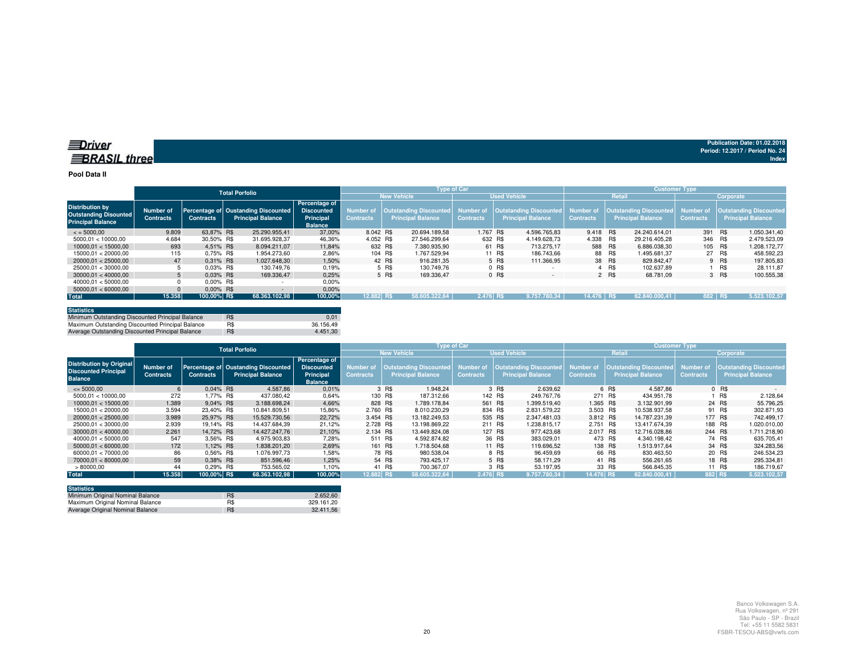#### **Pool Data II**

|                                                                                    |                               |                  | <b>Total Porfolio</b>                                           |                                                                   |                                      |                    | <b>Type of Car</b>                                 |                     |         |                                                                            | <b>Customer Type</b> |        |                                                              |                  |           |                                                     |  |
|------------------------------------------------------------------------------------|-------------------------------|------------------|-----------------------------------------------------------------|-------------------------------------------------------------------|--------------------------------------|--------------------|----------------------------------------------------|---------------------|---------|----------------------------------------------------------------------------|----------------------|--------|--------------------------------------------------------------|------------------|-----------|-----------------------------------------------------|--|
|                                                                                    |                               |                  |                                                                 |                                                                   |                                      | <b>New Vehicle</b> |                                                    | <b>Used Vehicle</b> |         |                                                                            |                      | Retail |                                                              |                  | Corporate |                                                     |  |
| <b>Distribution by</b><br><b>Outstanding Disounted</b><br><b>Principal Balance</b> | Number of<br><b>Contracts</b> | <b>Contracts</b> | Percentage of Oustanding Discounted<br><b>Principal Balance</b> | Percentage of<br><b>Discounted</b><br>Principal<br><b>Balance</b> | <b>Number of</b><br><b>Contracts</b> |                    | Outstanding Discounted<br><b>Principal Balance</b> | <b>Contracts</b>    |         | Number of   Outstanding Discounted   Number of<br><b>Principal Balance</b> | <b>Contracts</b>     |        | Outstanding Discounted Number of<br><b>Principal Balance</b> | <b>Contracts</b> |           | Outstanding Discounted,<br><b>Principal Balance</b> |  |
| $\le$ = 5000.00                                                                    | 9.809                         | 63.87% R\$       | 25.290.955.41                                                   | 37.00%                                                            | 8.042 R\$                            |                    | 20.694.189.58                                      | 1.767 R\$           |         | 4.596.765.83                                                               | 9.418 R\$            |        | 24.240.614.01                                                | 391 R\$          |           | 1.050.341.40                                        |  |
| 5000.01 < 10000.00                                                                 | 4.684                         | 30.50% R\$       | 31.695.928.37                                                   | 46.36%                                                            | 4.052 R\$                            |                    | 27.546.299.64                                      | 632 R\$             |         | 4.149.628.73                                                               | 4.338 R\$            |        | 29.216.405.28                                                | 346 R\$          |           | 2.479.523.09                                        |  |
| 10000.01 < 15000.00                                                                | 693                           | 4.51% R\$        | 8.094.211.07                                                    | 11.84%                                                            |                                      | 632 R\$            | 7.380.935.90                                       |                     | 61 R\$  | 713.275.17                                                                 | 588 R\$              |        | 6.886.038.30                                                 | 105 R\$          |           | 1.208.172,77                                        |  |
| 15000.01 < 20000.00                                                                | 115                           | 0.75% R\$        | 1.954.273.60                                                    | 2,86%                                                             |                                      | 104 R\$            | 1.767.529.94                                       |                     | 11 R\$  | 186.743.66                                                                 |                      | 88 R\$ | 1.495.681.37                                                 |                  | 27 R\$    | 458.592.23                                          |  |
| 20000.01 < 25000.00                                                                | 47                            | $0.31\%$ R\$     | 1.027.648.30                                                    | 1.50%                                                             |                                      | 42 R\$             | 916.281.35                                         |                     | 5 R\$   | 111.366.95                                                                 | 38 R\$               |        | 829.842.47                                                   |                  | 9 R\$     | 197.805.83                                          |  |
| 25000.01 < 30000.00                                                                |                               | 0.03% R\$        | 130.749.76                                                      | 0.19%                                                             |                                      | 5 R\$              | 130.749.76                                         |                     | $0$ R\$ |                                                                            |                      | 4 R\$  | 102.637.89                                                   |                  | R\$       | 28.111.87                                           |  |
| 30000.01 < 40000.00                                                                |                               | $0.03\%$ R\$     | 169.336.47                                                      | 0,25%                                                             |                                      | 5 R\$              | 169.336,47                                         |                     | 0 R\$   | $\overline{\phantom{a}}$                                                   |                      | 2 R\$  | 68.781,09                                                    |                  | 3 R\$     | 100.555,38                                          |  |
| 40000.01 < 50000.00                                                                |                               | $0.00\%$ R\$     |                                                                 | 0,00%                                                             |                                      |                    |                                                    |                     |         |                                                                            |                      |        |                                                              |                  |           |                                                     |  |
| 50000.01 < 60000.00                                                                |                               | $0.00\%$ R\$     |                                                                 | $0.00\%$                                                          |                                      |                    |                                                    |                     |         |                                                                            |                      |        |                                                              |                  |           |                                                     |  |
| <b>Total</b>                                                                       | 15.358                        | 100,00% R\$      | 68.363.102.98                                                   | 100,00%                                                           | 12.882 R\$                           |                    | 58.605.322.64                                      | 2.476 RS            |         | 9.757.780,34                                                               | 14.476 RS            |        | 62.840.000.41                                                | 882 RS           |           | 5.523.102.57                                        |  |

| <b>Statistics</b>                                |     |           |
|--------------------------------------------------|-----|-----------|
| Minimum Outstanding Discounted Principal Balance | R\$ | 0.01      |
| Maximum Outstanding Discounted Principal Balance | R\$ | 36.156.49 |
| Average Outstanding Discounted Principal Balance | R\$ | 4.451.30  |

|                                                                                  |                               |                  | <b>Total Porfolio</b>                                           |                                                                   |                               |                                                    | <b>Type of Car</b>            |                                                              | <b>Customer Type</b> |                                             |                               |                                                           |  |  |
|----------------------------------------------------------------------------------|-------------------------------|------------------|-----------------------------------------------------------------|-------------------------------------------------------------------|-------------------------------|----------------------------------------------------|-------------------------------|--------------------------------------------------------------|----------------------|---------------------------------------------|-------------------------------|-----------------------------------------------------------|--|--|
|                                                                                  |                               |                  |                                                                 |                                                                   |                               | <b>New Vehicle</b>                                 |                               | <b>Used Vehicle</b>                                          |                      | Retail                                      |                               | Corporate                                                 |  |  |
| <b>Distribution by Original</b><br><b>Discounted Principal</b><br><b>Balance</b> | Number of<br><b>Contracts</b> | <b>Contracts</b> | Percentage of Oustanding Discounted<br><b>Principal Balance</b> | Percentage of<br><b>Discounted</b><br>Principal<br><b>Balance</b> | Number of<br><b>Contracts</b> | Outstanding Discounted<br><b>Principal Balance</b> | Number of<br><b>Contracts</b> | Outstanding Discounted Number of<br><b>Principal Balance</b> | <b>Contracts</b>     | Outstanding Discounted<br>Principal Balance | Number of<br><b>Contracts</b> | <b>Outstanding Discounted</b><br><b>Principal Balance</b> |  |  |
| $\leq 5000,00$                                                                   | 6                             | 0.04% R\$        | 4.587,86                                                        | 0,01%                                                             |                               | 3 R\$<br>1.948.24                                  |                               | 3 R\$<br>2.639.62                                            |                      | 4.587.86<br>6 R\$                           |                               | $0$ R\$                                                   |  |  |
| 5000.01 < 10000.00                                                               | 272                           | .77% R\$         | 437.080.42                                                      | 0,64%                                                             | 130 R\$                       | 187.312.66                                         | 142 R\$                       | 249.767.76                                                   | 271 R\$              | 434.951.78                                  |                               | R\$<br>2.128.64                                           |  |  |
| 10000.01 < 15000.00                                                              | 1.389                         | 9.04% R\$        | 3.188.698.24                                                    | 4,66%                                                             | 828 R\$                       | 1.789.178.84                                       | 561 R\$                       | 1.399.519.40                                                 | 1.365 R\$            | 3.132.901.99                                |                               | 24 R\$<br>55.796.25                                       |  |  |
| 15000.01 < 20000.00                                                              | 3.594                         | 23.40% R\$       | 10.841.809.51                                                   | 15.86%                                                            | 2.760 R\$                     | 8.010.230.29                                       | 834 R\$                       | 2.831.579.22                                                 | 3.503 R\$            | 10.538.937.58                               |                               | 91 R\$<br>302.871.93                                      |  |  |
| 20000.01 < 25000.00                                                              | 3.989                         | 25,97% R\$       | 15.529.730.56                                                   | 22,72%                                                            | 3.454 R\$                     | 13.182.249.53                                      | 535 R\$                       | 2.347.481.03                                                 | 3.812 R\$            | 14.787.231.39                               | 177 R\$                       | 742.499.17                                                |  |  |
| 25000.01 < 30000.00                                                              | 2.939                         | 19.14% R\$       | 14.437.684.39                                                   | 21,12%                                                            | 2.728 R\$                     | 13.198.869.22                                      | 211 R\$                       | 1.238.815.17                                                 | 2.751 R\$            | 13.417.674.39                               | 188 R\$                       | 1.020.010,00                                              |  |  |
| 30000.01 < 40000.00                                                              | 2.261                         | 14.72% R\$       | 14.427.247.76                                                   | 21,10%                                                            | 2.134 R\$                     | 13.449.824.08                                      | 127 R\$                       | 977.423.68                                                   | 2.017 R\$            | 12.716.028.86                               | 244 R\$                       | 1.711.218.90                                              |  |  |
| 40000.01 < 50000.00                                                              | 547                           | 3.56% R\$        | 4.975.903.83                                                    | 7,28%                                                             | 511 R\$                       | 4.592.874.82                                       | 36 R\$                        | 383.029.01                                                   | 473 R\$              | 4.340.198.42                                |                               | 74 R\$<br>635.705.41                                      |  |  |
| 50000.01 < 60000.00                                                              | 172                           | 1.12% R\$        | 1.838.201.20                                                    | 2,69%                                                             | 161 R\$                       | 1.718.504.68                                       | 11 R\$                        | 119.696.52                                                   |                      | 138 R\$<br>1.513.917.64                     |                               | 34 R\$<br>324.283.56                                      |  |  |
| 60000.01 < 70000.00                                                              | 86                            | 0.56% R\$        | 1.076.997.73                                                    | 1,58%                                                             |                               | 78 R\$<br>980.538.04                               |                               | 8 R\$<br>96.459.69                                           |                      | 66 R\$<br>830.463.50                        |                               | 20 R\$<br>246.534.23                                      |  |  |
| 70000.01 < 80000.00                                                              | 59                            | 0.38% R\$        | 851.596.46                                                      | 1.25%                                                             |                               | 54 R\$<br>793.425.17                               |                               | 5 R\$<br>58.171.29                                           |                      | 41 R\$<br>556.261.65                        |                               | 18 R\$<br>295.334,81                                      |  |  |
| >80000,00                                                                        | 44                            | 0.29% R\$        | 753.565.02                                                      | 1.10%                                                             |                               | 41 R\$<br>700.367.07                               |                               | 3 R\$<br>53.197.95                                           |                      | 33 R\$<br>566.845.35                        |                               | 11 R\$<br>186.719.67                                      |  |  |
| <b>Total</b>                                                                     | 15.358                        | 100.00% R\$      | 68.363.102.98                                                   | 100,00%                                                           | 12.882 R\$                    | 58.605.322.64                                      | 2.476 RS                      | 9.757.780,34                                                 | 14.476 R\$           | 62.840.000.41                               | 882 R\$                       | 5.523.102,57                                              |  |  |

| <b>Statistics</b>                |     |            |
|----------------------------------|-----|------------|
| Minimum Original Nominal Balance | R\$ | 2.652.60   |
| Maximum Original Nominal Balance | R\$ | 329.161.20 |
| Average Original Nominal Balance | R\$ | 32.411.56  |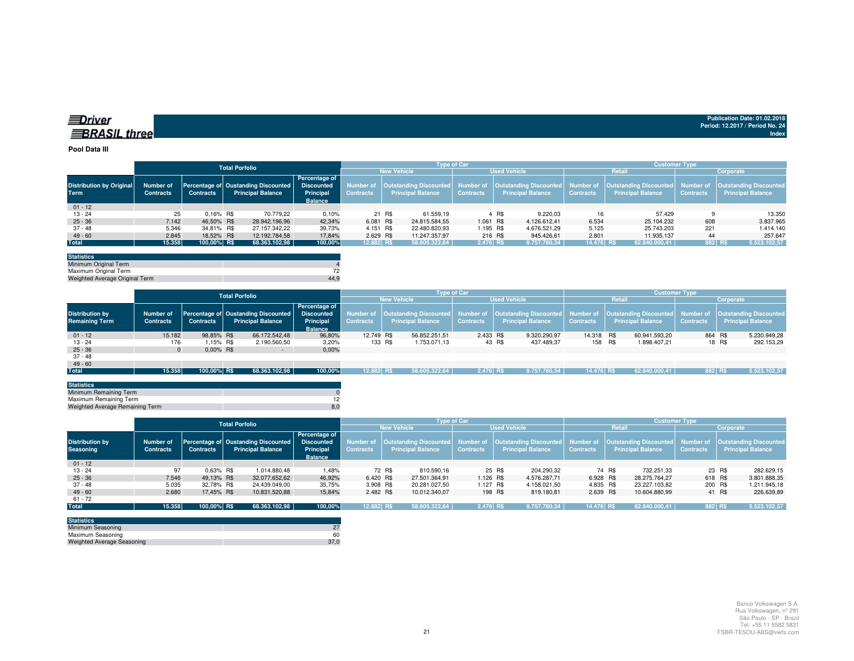| ≡Driver             |  |
|---------------------|--|
| <b>BRASIL three</b> |  |

#### **Pool Data III**

|                                 |                  |                  | <b>Total Porfolio</b> |                                                |                |                    |        | <b>Type of Car</b>            |                     |       |                          | <b>Customer Type</b> |                          |                  |                                                                                                              |  |  |
|---------------------------------|------------------|------------------|-----------------------|------------------------------------------------|----------------|--------------------|--------|-------------------------------|---------------------|-------|--------------------------|----------------------|--------------------------|------------------|--------------------------------------------------------------------------------------------------------------|--|--|
|                                 |                  |                  |                       |                                                |                | <b>New Vehicle</b> |        |                               | <b>Used Vehicle</b> |       |                          |                      | <b>Retail</b>            | Corporate        |                                                                                                              |  |  |
|                                 |                  |                  |                       |                                                | Percentage of  |                    |        |                               |                     |       |                          |                      |                          |                  |                                                                                                              |  |  |
| <b>Distribution by Original</b> | Number of        |                  |                       | Percentage of Oustanding Discounted Discounted |                | Number of          |        | <b>Outstanding Discounted</b> |                     |       |                          |                      |                          |                  | Number of   Outstanding Discounted   Number of   Outstanding Discounted   Number of   Outstanding Discounted |  |  |
| <b>Term</b>                     | <b>Contracts</b> | <b>Contracts</b> |                       | <b>Principal Balance</b>                       | Principal      | <b>Contracts</b>   |        | <b>Principal Balance</b>      | <b>Contracts</b>    |       | <b>Principal Balance</b> | <b>Contracts</b>     | <b>Principal Balance</b> | <b>Contracts</b> | <b>Principal Balance</b>                                                                                     |  |  |
|                                 |                  |                  |                       |                                                | <b>Balance</b> |                    |        |                               |                     |       |                          |                      |                          |                  |                                                                                                              |  |  |
| $01 - 12$                       |                  |                  |                       |                                                |                |                    |        |                               |                     |       |                          |                      |                          |                  |                                                                                                              |  |  |
| $13 - 24$                       | 25               | 0.16% R\$        |                       | 70.779.22                                      | 0,10%          |                    | 21 R\$ | 61.559.19                     |                     | 4 R\$ | 9.220.03                 | 16                   | 57.429                   |                  | 13.350                                                                                                       |  |  |
| $25 - 36$                       | 7.142            | 46.50% R\$       |                       | 28.942.196.96                                  | 42.34%         | 6.081 R\$          |        | 24.815.584,55                 | 1.061 R\$           |       | 4.126.612.41             | 6.534                | 25.104.232               | 608              | 3.837.965                                                                                                    |  |  |
| 37 - 48                         | 5.346            | 34,81% R\$       |                       | 27.157.342,22                                  | 39,73%         | 4.151 R\$          |        | 22.480.820.93                 | 1.195 R\$           |       | 4.676.521.29             | 5.125                | 25.743.203               | 221              | 1.414.140                                                                                                    |  |  |
| $49 - 60$                       | 2.845            | 18.52% R\$       |                       | 12.192.784.58                                  | 17.84%         | 2.629 R\$          |        | 11.247.357.97                 | 216 R\$             |       | 945.426.61               | 2.801                | 11.935.137               | 44               | 257.647                                                                                                      |  |  |
| <b>Total</b>                    | 15.358           | 100,00% R\$      |                       | 68.363.102,98                                  | 100,00%        | 12.882 R\$         |        | 58.605.322,64                 | 2.476 R\$           |       | 9.757.780,34             | 14.476 R\$           | 62.840.000,41            | 882 R\$          | 5.523.102,57                                                                                                 |  |  |
|                                 |                  |                  |                       |                                                |                |                    |        |                               |                     |       |                          |                      |                          |                  |                                                                                                              |  |  |

| <b>Statistics</b>              |      |
|--------------------------------|------|
| Minimum Original Term          |      |
| Maximum Original Term          |      |
| Weighted Average Original Term | 44.9 |

|                        |                  |                  | <b>Total Porfolio</b>               |                   |                  |                          | <b>Type of Car</b> |                                                                                                                          | <b>Customer Type</b> |                          |                  |                               |  |  |  |
|------------------------|------------------|------------------|-------------------------------------|-------------------|------------------|--------------------------|--------------------|--------------------------------------------------------------------------------------------------------------------------|----------------------|--------------------------|------------------|-------------------------------|--|--|--|
|                        |                  |                  |                                     |                   |                  | <b>New Vehicle</b>       |                    | <b>Used Vehicle</b>                                                                                                      |                      | Retail                   | Corporate        |                               |  |  |  |
|                        |                  |                  |                                     | Percentage of     |                  |                          |                    |                                                                                                                          |                      |                          |                  |                               |  |  |  |
| <b>Distribution by</b> | Number of        |                  | Percentage of Oustanding Discounted | <b>Discounted</b> |                  |                          |                    | Number of   Outstanding Discounted   Number of   Outstanding Discounted   Number of   Outstanding Discounted   Number of |                      |                          |                  | <b>Outstanding Discounted</b> |  |  |  |
| <b>Remaining Term</b>  | <b>Contracts</b> | <b>Contracts</b> | <b>Principal Balance</b>            | Principal         | <b>Contracts</b> | <b>Principal Balance</b> | <b>Contracts</b>   | <b>Principal Balance</b>                                                                                                 | <b>Contracts</b>     | <b>Principal Balance</b> | <b>Contracts</b> | <b>Principal Balance</b>      |  |  |  |
|                        |                  |                  |                                     | <b>Balance</b>    |                  |                          |                    |                                                                                                                          |                      |                          |                  |                               |  |  |  |
| $01 - 12$              | 15.182           | 98.85% R\$       | 66.172.542.48                       | 96,80%            | 12.749 R\$       | 56.852.251.51            | 2.433 R\$          | 9.320.290.97                                                                                                             | 14.318 R\$           | 60.941.593.20            |                  | 864 R\$<br>5.230.949,28       |  |  |  |
| $13 - 24$              | 176              | 1.15% R\$        | 2.190.560,50                        | 3,20%             | 133 R\$          | 1.753.071.13             |                    | 43 R\$<br>437.489,37                                                                                                     |                      | 158 R\$<br>1.898.407,21  |                  | 18 R\$<br>292.153,29          |  |  |  |
| $25 - 36$              |                  | $0.00\%$ R\$     |                                     | 0,00%<br>$\sim$   |                  |                          |                    |                                                                                                                          |                      |                          |                  |                               |  |  |  |
| 37 - 48                |                  |                  |                                     |                   |                  |                          |                    |                                                                                                                          |                      |                          |                  |                               |  |  |  |
| $49 - 60$              |                  |                  |                                     |                   |                  |                          |                    |                                                                                                                          |                      |                          |                  |                               |  |  |  |
| <b>Total</b>           | 15.358           | 100.00% R\$      | 68.363.102,98                       | 100,00%           | 12.882 RS        | 58.605.322.64            | 2.476 RS           | 9.757.780.34                                                                                                             | 14.476 R\$           | 62.840.000.41            | 882 R\$          | 5.523.102,57                  |  |  |  |
|                        |                  |                  |                                     |                   |                  |                          |                    |                                                                                                                          |                      |                          |                  |                               |  |  |  |

| <b>Statistics</b>               |                |
|---------------------------------|----------------|
| Minimum Remaining Term          |                |
| Maximum Remaining Term          |                |
| Weighted Average Remaining Term | 8 <sub>c</sub> |
|                                 |                |

|                                            |                               |                  | <b>Total Porfolio</b>                                           |                                                                          |                  |                          | <b>Type of Car</b> |                          | <b>Customer Type</b> |                          |                  |                                                                                                                                                                         |  |  |  |
|--------------------------------------------|-------------------------------|------------------|-----------------------------------------------------------------|--------------------------------------------------------------------------|------------------|--------------------------|--------------------|--------------------------|----------------------|--------------------------|------------------|-------------------------------------------------------------------------------------------------------------------------------------------------------------------------|--|--|--|
|                                            |                               |                  |                                                                 |                                                                          |                  | <b>New Vehicle</b>       |                    | <b>Used Vehicle</b>      |                      | Retail                   | Corporate        |                                                                                                                                                                         |  |  |  |
| <b>Distribution by</b><br><b>Seasoning</b> | Number of<br><b>Contracts</b> | <b>Contracts</b> | Percentage of Oustanding Discounted<br><b>Principal Balance</b> | <b>Percentage of</b><br><b>Discounted</b><br>Principal<br><b>Balance</b> | <b>Contracts</b> | <b>Principal Balance</b> | <b>Contracts</b>   | <b>Principal Balance</b> | <b>Contracts</b>     | <b>Principal Balance</b> | <b>Contracts</b> | Number of  Outstanding Discounted  Number of  Outstanding Discounted  Number of  Outstanding Discounted  Number of  Outstanding Discounted <br><b>Principal Balance</b> |  |  |  |
| $01 - 12$                                  |                               |                  |                                                                 |                                                                          |                  |                          |                    |                          |                      |                          |                  |                                                                                                                                                                         |  |  |  |
| 13 - 24                                    | 97                            | $0.63\%$ R\$     | 1.014.880.48                                                    | 1,48%                                                                    |                  | 72 R\$<br>810.590,16     |                    | 25 R\$<br>204.290,32     |                      | 74 R\$<br>732.251.33     |                  | 23 R\$<br>282.629,15                                                                                                                                                    |  |  |  |
| $25 - 36$                                  | 7.546                         | 49.13% R\$       | 32.077.652.62                                                   | 46.92%                                                                   | 6.420 R\$        | 27.501.364.91            | 1.126 R\$          | 4.576.287.71             | 6.928 R\$            | 28.275.764.27            | 618 R\$          | 3.801.888,35                                                                                                                                                            |  |  |  |
| $37 - 48$                                  | 5.035                         | 32.78% R\$       | 24.439.049.00                                                   | 35,75%                                                                   | 3.908 R\$        | 20.281.027.50            | 1.127 R\$          | 4.158.021,50             | 4.835 R\$            | 23.227.103.82            | 200 R\$          | 1.211.945,18                                                                                                                                                            |  |  |  |
| $49 - 60$                                  | 2.680                         | 17,45% R\$       | 10.831.520,88                                                   | 15,84%                                                                   | 2.482 R\$        | 10.012.340,07            |                    | 198 R\$<br>819.180,81    | 2.639 R\$            | 10.604.880,99            |                  | 41 R\$<br>226.639,89                                                                                                                                                    |  |  |  |
| 61 - 72                                    |                               |                  |                                                                 |                                                                          |                  |                          |                    |                          |                      |                          |                  |                                                                                                                                                                         |  |  |  |
| <b>Total</b>                               | 15.358                        | 100.00% R\$      | 68.363.102,98                                                   | 100,00%                                                                  | 12.882 R\$       | 58.605.322.64   '        | 2.476 RS           | 9.757.780.34             | 14.476 R\$           | 62.840.000,41            | 882 R\$          | 5.523.102,57                                                                                                                                                            |  |  |  |
|                                            |                               |                  |                                                                 |                                                                          |                  |                          |                    |                          |                      |                          |                  |                                                                                                                                                                         |  |  |  |

| <b>Statistics</b>                 |      |
|-----------------------------------|------|
| Minimum Seasoning                 |      |
| Maximum Seasoning                 | 60   |
| <b>Weighted Average Seasoning</b> | 37.0 |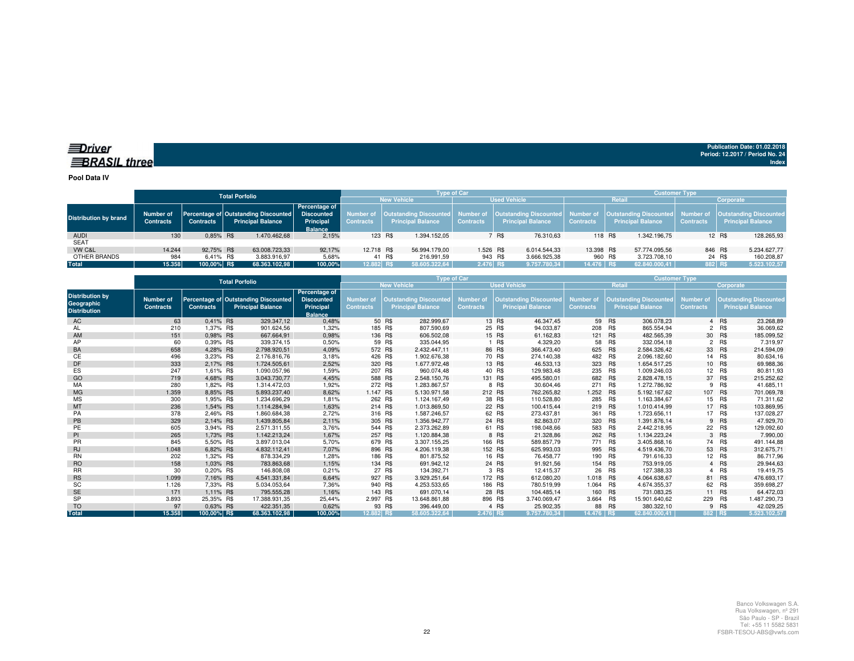### *<u>IDriver</u>* **BRASIL** three

**Publication Date: 01.02.2018Period: 12.2017 / Period No. 24 Index**

**Pool Data IV**

|                              |                                      |                  | <b>Total Porfolio</b>                                                       |                                                     |                    |                          |                     | <b>Type of Car</b> |         | <b>Customer Type</b>     |                  |         |                          |                  |                                                                                                                                                                         |
|------------------------------|--------------------------------------|------------------|-----------------------------------------------------------------------------|-----------------------------------------------------|--------------------|--------------------------|---------------------|--------------------|---------|--------------------------|------------------|---------|--------------------------|------------------|-------------------------------------------------------------------------------------------------------------------------------------------------------------------------|
|                              |                                      |                  |                                                                             |                                                     | <b>New Vehicle</b> |                          | <b>Used Vehicle</b> |                    |         |                          | Retail           |         |                          | Corporate        |                                                                                                                                                                         |
| <b>Distribution by brand</b> | <b>Number of</b><br><b>Contracts</b> | <b>Contracts</b> | Percentage of Outstanding Discounted Discounted<br><b>Principal Balance</b> | <b>Percentage of</b><br>Principal<br><b>Balance</b> | <b>Contracts</b>   | <b>Principal Balance</b> |                     | <b>Contracts</b>   |         | <b>Principal Balance</b> | <b>Contracts</b> |         | <b>Principal Balance</b> | <b>Contracts</b> | Number of  Outstanding Discounted  Number of  Outstanding Discounted  Number of  Outstanding Discounted  Number of  Outstanding Discounted <br><b>Principal Balance</b> |
| <b>AUDI</b>                  | 130                                  | 0.85% R\$        | 1.470.462.68                                                                | 2,15%                                               |                    | 123 R\$                  | 1.394.152.05        |                    | 7 R\$   | 76.310.63                |                  | 118 R\$ | 1.342.196.75             |                  | 128.265,93<br>12 R\$                                                                                                                                                    |
| <b>SEAT</b>                  |                                      |                  |                                                                             |                                                     |                    |                          |                     |                    |         |                          |                  |         |                          |                  |                                                                                                                                                                         |
| VW C&L                       | 14.244                               | 92.75% R\$       | 63.008.723.33                                                               | 92.17%                                              | 12.718 R\$         |                          | 56.994.179.00       | 1.526 R\$          |         | 6.014.544.33             | 13.398 R\$       |         | 57.774.095.56            |                  | 846 R\$<br>5.234.627.77                                                                                                                                                 |
| OTHER BRANDS                 | 984                                  | 6.41% R\$        | 3.883.916.97                                                                | 5,68%                                               |                    | 41 R\$                   | 216.991.59          |                    | 943 R\$ | 3.666.925,38             |                  | 960 R\$ | 3.723.708.10             |                  | 24 R\$<br>160.208,87                                                                                                                                                    |
| Total                        | 15.358                               | 100.00% R\$      | 68.363.102,98                                                               | 100.00%                                             | 12.882 R\$         |                          | 58.605.322.64       | 2.476 R\$          |         | 9.757.780.34             | 14.476 R\$       |         | 62.840.000.41            |                  | 882 RS<br>5.523.102,57                                                                                                                                                  |

|                                                             |                               |                  | <b>Total Porfolio</b>                                            |                                                                   |                                      | Type of Car                                               |                                      | <b>Customer Type</b> |                                                           |                               |               |                                                           |                                      |            |                                                           |  |
|-------------------------------------------------------------|-------------------------------|------------------|------------------------------------------------------------------|-------------------------------------------------------------------|--------------------------------------|-----------------------------------------------------------|--------------------------------------|----------------------|-----------------------------------------------------------|-------------------------------|---------------|-----------------------------------------------------------|--------------------------------------|------------|-----------------------------------------------------------|--|
|                                                             |                               |                  |                                                                  |                                                                   |                                      | <b>New Vehicle</b>                                        |                                      |                      | <b>Used Vehicle</b>                                       |                               | <b>Retail</b> |                                                           |                                      | Corporate  |                                                           |  |
| <b>Distribution by</b><br>Geographic<br><b>Distribution</b> | Number of<br><b>Contracts</b> | <b>Contracts</b> | Percentage of Outstanding Discounted<br><b>Principal Balance</b> | Percentage of<br><b>Discounted</b><br>Principal<br><b>Balance</b> | <b>Number of</b><br><b>Contracts</b> | <b>Outstanding Discounted</b><br><b>Principal Balance</b> | <b>Number of</b><br><b>Contracts</b> |                      | <b>Outstanding Discounted</b><br><b>Principal Balance</b> | Number of<br><b>Contracts</b> |               | <b>Outstanding Discounted</b><br><b>Principal Balance</b> | <b>Number of</b><br><b>Contracts</b> |            | <b>Outstanding Discounted</b><br><b>Principal Balance</b> |  |
| AC                                                          | 63                            | 0.41% R\$        | 329.347,12                                                       | 0,48%                                                             |                                      | 50 R\$<br>282.999.67                                      |                                      | 13 R\$               | 46.347,45                                                 |                               | 59 R\$        | 306.078.23                                                |                                      | 4 R\$      | 23.268,89                                                 |  |
| AL                                                          | 210                           | 1,37% R\$        | 901.624,56                                                       | 1,32%                                                             | 185 R\$                              | 807.590,69                                                |                                      | 25 R\$               | 94.033,87                                                 | 208                           | R\$           | 865.554,94                                                | $\overline{2}$                       | <b>R\$</b> | 36.069,62                                                 |  |
| AM                                                          | 151                           | 0.98% R\$        | 667.664,91                                                       | 0,98%                                                             | 136 R\$                              | 606.502,08                                                |                                      | 15 R\$               | 61.162,83                                                 | 121 R\$                       |               | 482.565,39                                                |                                      | 30 R\$     | 185.099,52                                                |  |
| AP                                                          | 60                            | 0.39% R\$        | 339.374.15                                                       | 0,50%                                                             |                                      | 59 R\$<br>335.044.95                                      |                                      | 1 R\$                | 4.329,20                                                  | 58                            | R\$           | 332.054.18                                                | $\overline{2}$                       | <b>R\$</b> | 7.319,97                                                  |  |
| BA                                                          | 658                           | 4,28% R\$        | 2.798.920,51                                                     | 4,09%                                                             | 572 R\$                              | 2.432.447,11                                              |                                      | 86 R\$               | 366.473,40                                                | 625 R\$                       |               | 2.584.326,42                                              |                                      | 33 R\$     | 214.594,09                                                |  |
| CЕ                                                          | 496                           | 3.23% R\$        | 2.176.816.76                                                     | 3,18%                                                             | 426 R\$                              | 1.902.676,38                                              |                                      | 70 R\$               | 274.140,38                                                | 482                           | R\$           | 2.096.182,60                                              |                                      | 14 R\$     | 80.634,16                                                 |  |
| DF                                                          | 333                           | 2,17% R\$        | 1.724.505.61                                                     | 2,52%                                                             | 320 R\$                              | 1.677.972.48                                              |                                      | 13 R\$               | 46.533,13                                                 | 323                           | R\$           | 1.654.517.25                                              |                                      | 10 R\$     | 69.988,36                                                 |  |
| ES                                                          | 247                           | 1,61% R\$        | 1.090.057.96                                                     | 1.59%                                                             | 207 R\$                              | 960.074.48                                                |                                      | 40 R\$               | 129.983.48                                                | 235                           | R\$           | 1.009.246,03                                              |                                      | 12 R\$     | 80.811,93                                                 |  |
| GO                                                          | 719                           | 4.68% R\$        | 3.043.730.77                                                     | 4,45%                                                             | 588 R\$                              | 2.548.150.76                                              |                                      | 131 R\$              | 495.580,01                                                | 682 R\$                       |               | 2.828.478.15                                              | 37                                   | R\$        | 215.252,62                                                |  |
| MA                                                          | 280                           | 1.82% R\$        | 1.314.472.03                                                     | 1,92%                                                             | 272 R\$                              | 1.283.867,57                                              |                                      | 8 R\$                | 30.604,46                                                 | 271                           | R\$           | 1.272.786,92                                              | 9                                    | R\$        | 41.685,11                                                 |  |
| <b>MG</b>                                                   | 1.359                         | 8.85% R\$        | 5.893.237.40                                                     | 8,62%                                                             | 1.147 R\$                            | 5.130.971.58                                              |                                      | 212 R\$              | 762.265.82                                                | 1.252 R\$                     |               | 5.192.167.62                                              | 107                                  | R\$        | 701.069,78                                                |  |
| <b>MS</b>                                                   | 300                           | 1,95% R\$        | 1.234.696,29                                                     | 1,81%                                                             | 262 R\$                              | 1.124.167,49                                              |                                      | 38 R\$               | 110.528,80                                                | 285                           | R\$           | 1.163.384.67                                              |                                      | 15 R\$     | 71.311,62                                                 |  |
| MT                                                          | 236                           | 1,54% R\$        | 1.114.284,94                                                     | 1,63%                                                             | 214 R\$                              | 1.013.869,50                                              |                                      | 22 R\$               | 100.415,44                                                | 219 R\$                       |               | 1.010.414,99                                              |                                      | 17 R\$     | 103.869,95                                                |  |
| PA                                                          | 378                           | 2,46% R\$        | 1.860.684.38                                                     | 2,72%                                                             | 316 R\$                              | 1.587.246.57                                              |                                      | 62 R\$               | 273.437,81                                                | 361                           | R\$           | 1.723.656,11                                              | 17                                   | R\$        | 137.028,27                                                |  |
| PB                                                          | 329                           | 2,14% R\$        | 1.439.805,84                                                     | 2,11%                                                             | 305 R\$                              | 1.356.942,77                                              |                                      | 24 R\$               | 82.863,07                                                 | 320 R\$                       |               | 1.391.876,14                                              |                                      | 9 R\$      | 47.929,70                                                 |  |
| PE                                                          | 605                           | 3.94% R\$        | 2.571.311,55                                                     | 3,76%                                                             | 544 R\$                              | 2.373.262,89                                              |                                      | 61 R\$               | 198.048,66                                                | 583                           | R\$           | 2.442.218,95                                              |                                      | 22 R\$     | 129.092,60                                                |  |
| PI                                                          | 265                           | 1.73% R\$        | 1.142.213.24                                                     | 1,67%                                                             | 257 R\$                              | 1.120.884.38                                              |                                      | 8 R\$                | 21.328,86                                                 | 262 R\$                       |               | 1.134.223.24                                              |                                      | 3 R\$      | 7.990.00                                                  |  |
| <b>PR</b>                                                   | 845                           | 5.50% R\$        | 3.897.013.04                                                     | 5,70%                                                             | 679 R\$                              | 3.307.155.25                                              |                                      | 166 R\$              | 589.857.79                                                | 771 R\$                       |               | 3.405.868,16                                              |                                      | 74 R\$     | 491.144.88                                                |  |
| <b>RJ</b>                                                   | 1.048                         | 6,82% R\$        | 4.832.112,41                                                     | 7,07%                                                             | 896 R\$                              | 4.206.119,38                                              |                                      | 152 R\$              | 625.993,03                                                | 995 R\$                       |               | 4.519.436,70                                              | 53                                   | R\$        | 312.675,71                                                |  |
| <b>RN</b>                                                   | 202                           | 1,32% R\$        | 878.334,29                                                       | 1,28%                                                             | 186 R\$                              | 801.875,52                                                |                                      | 16 R\$               | 76.458,77                                                 | 190                           | R\$           | 791.616,33                                                |                                      | 12 R\$     | 86.717,96                                                 |  |
| <b>RO</b>                                                   | 158                           | 1,03% R\$        | 783.863,68                                                       | 1,15%                                                             |                                      | 134 R\$<br>691.942.12                                     |                                      | 24 R\$               | 91.921.56                                                 | 154 R\$                       |               | 753.919.05                                                |                                      | 4 R\$      | 29.944,63                                                 |  |
| <b>RR</b>                                                   | 30                            | 0,20% R\$        | 146.808,08                                                       | 0,21%                                                             |                                      | 27 R\$<br>134.392,71                                      |                                      | 3 R\$                | 12.415,37                                                 | 26                            | <b>R\$</b>    | 127.388,33                                                | 4                                    | R\$        | 19.419,75                                                 |  |
| <b>RS</b>                                                   | 1.099                         | 7,16% R\$        | 4.541.331.84                                                     | 6,64%                                                             | 927 R\$                              | 3.929.251,64                                              |                                      | 172 R\$              | 612.080,20                                                | 1.018                         | <b>R\$</b>    | 4.064.638,67                                              | 81                                   | R\$        | 476.693,17                                                |  |
| SC                                                          | 1.126                         | 7,33% R\$        | 5.034.053,64                                                     | 7,36%                                                             | 940 R\$                              | 4.253.533,65                                              |                                      | 186 R\$              | 780.519.99                                                | 1.064                         | R\$           | 4.674.355,37                                              | 62                                   | R\$        | 359.698,27                                                |  |
| <b>SE</b>                                                   | 171                           | 1.11% R\$        | 795.555.28                                                       | 1,16%                                                             | 143 R\$                              | 691.070.14                                                |                                      | 28 R\$               | 104.485.14                                                | 160                           | R\$           | 731.083.25                                                |                                      | 11 R\$     | 64.472,03                                                 |  |
| <b>SP</b>                                                   | 3.893                         | 25.35% R\$       | 17.388.931.35                                                    | 25,44%                                                            | 2.997 R\$                            | 13.648.861.88                                             |                                      | 896 R\$              | 3.740.069.47                                              | 3.664 R\$                     |               | 15.901.640,62                                             | 229                                  | R\$        | 1.487.290,73                                              |  |
| <b>TO</b>                                                   | 97                            | 0.63% R\$        | 422.351,35                                                       | 0,62%                                                             |                                      | 93 R\$<br>396.449.00                                      |                                      | 4 R\$                | 25.902,35                                                 |                               | 88 R\$        | 380.322.10                                                |                                      | 9 R\$      | 42.029.25                                                 |  |
| <b>Total</b>                                                | 15.358                        | 100,00% R\$      | 68.363.102,98                                                    | 100.00%                                                           | 12.882 RS                            | 58.605.322.64                                             | 2.476 RS                             |                      | 9.757.780.34                                              | 14.476 RS                     |               | 62.840.000.41                                             | 882 R\$                              |            | 5.523.102.57                                              |  |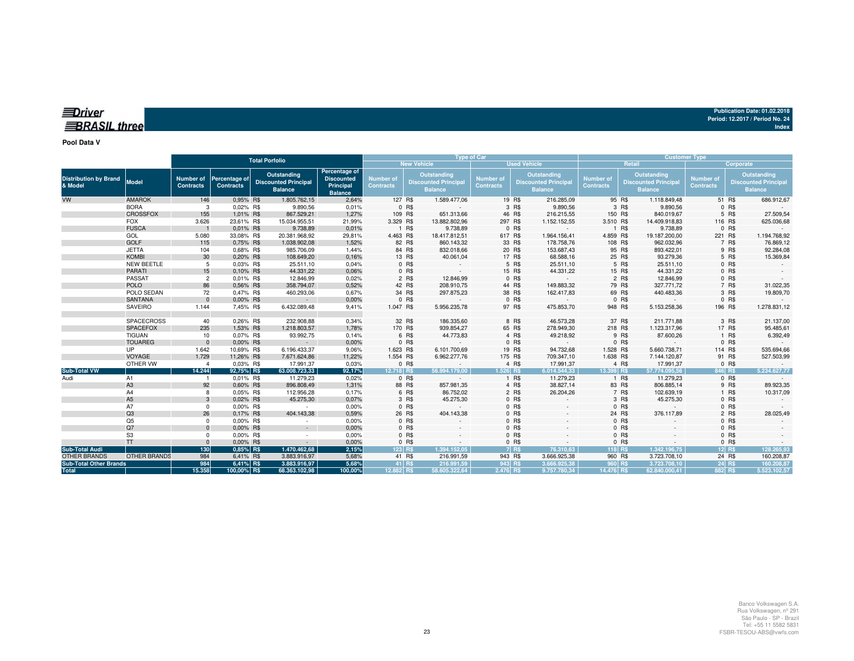| Publication Date: 01.02.2018    |  |
|---------------------------------|--|
| Period: 12.2017 / Period No. 24 |  |
| Index                           |  |

### *<u>IDriver</u>* **BRASIL** three

**Pool Data V**

|                                         |                             | <b>Total Porfolio</b>                |                                   |  |                                                              |                                                                   |                                      | <b>Type of Car</b> |                                                              |                                      | <b>Customer Type</b> |                                                              |                               |         |                                                              |                                      |           |                                                              |
|-----------------------------------------|-----------------------------|--------------------------------------|-----------------------------------|--|--------------------------------------------------------------|-------------------------------------------------------------------|--------------------------------------|--------------------|--------------------------------------------------------------|--------------------------------------|----------------------|--------------------------------------------------------------|-------------------------------|---------|--------------------------------------------------------------|--------------------------------------|-----------|--------------------------------------------------------------|
|                                         |                             |                                      |                                   |  |                                                              |                                                                   |                                      |                    | <b>New Vehicle</b>                                           |                                      |                      | <b>Used Vehicle</b>                                          |                               |         | Retail                                                       |                                      | Corporate |                                                              |
| <b>Distribution by Brand</b><br>& Model | <b>Model</b>                | <b>Number of</b><br><b>Contracts</b> | Percentage of<br><b>Contracts</b> |  | Outstanding<br><b>Discounted Principal</b><br><b>Balance</b> | Percentage of<br><b>Discounted</b><br>Principal<br><b>Balance</b> | <b>Number of</b><br><b>Contracts</b> |                    | Outstanding<br><b>Discounted Principal</b><br><b>Balance</b> | <b>Number of</b><br><b>Contracts</b> |                      | Outstanding<br><b>Discounted Principal</b><br><b>Balance</b> | Number of<br><b>Contracts</b> |         | Outstanding<br><b>Discounted Principal</b><br><b>Balance</b> | <b>Number of</b><br><b>Contracts</b> |           | Outstanding<br><b>Discounted Principal</b><br><b>Balance</b> |
| <b>VW</b>                               | <b>AMAROK</b>               | 146                                  | 0.95% R\$                         |  | 1.805.762,15                                                 | 2,64%                                                             | 127 R\$                              |                    | 1.589.477,06                                                 |                                      | 19 R\$               | 216.285,09                                                   |                               | 95 R\$  | 1.118.849,48                                                 |                                      | 51 R\$    | 686.912,67                                                   |
|                                         | <b>BORA</b>                 | 3                                    | 0,02% R\$                         |  | 9.890,56                                                     | 0,01%                                                             |                                      | 0 R\$              |                                                              |                                      | 3 R\$                | 9.890,56                                                     |                               | 3 R\$   | 9.890,56                                                     |                                      | 0 R\$     |                                                              |
|                                         | <b>CROSSFOX</b>             | 155                                  | 1,01% R\$                         |  | 867.529,21                                                   | 1,27%                                                             | 109 R\$                              |                    | 651.313,66                                                   |                                      | 46 R\$               | 216.215,55                                                   | 150 R\$                       |         | 840.019,67                                                   |                                      | 5 R\$     | 27.509,54                                                    |
|                                         | <b>FOX</b>                  | 3.626                                | 23,61% R\$                        |  | 15.034.955,51                                                | 21,99%                                                            | 3.329 R\$                            |                    | 13.882.802,96                                                |                                      | 297 R\$              | 1.152.152,55                                                 | 3.510 R\$                     |         | 14.409.918,83                                                | 116 R\$                              |           | 625.036,68                                                   |
|                                         | <b>FUSCA</b>                |                                      | 0,01% R\$                         |  | 9.738,89                                                     | 0,01%                                                             |                                      | 1 R\$              | 9.738,89                                                     |                                      | 0 R\$                |                                                              |                               | 1 R\$   | 9.738,89                                                     |                                      | 0 R\$     |                                                              |
|                                         | GOL                         | 5.080                                | 33,08% R\$                        |  | 20.381.968,92                                                | 29,81%                                                            | 4.463 R\$                            |                    | 18.417.812,51                                                | 617 R\$                              |                      | 1.964.156,41                                                 | 4.859 R\$                     |         | 19.187.200,00                                                | 221 R\$                              |           | 1.194.768,92                                                 |
|                                         | <b>GOLF</b>                 | 115                                  | 0,75% R\$                         |  | 1.038.902,08                                                 | 1,52%                                                             |                                      | 82 R\$             | 860.143,32                                                   |                                      | 33 R\$               | 178.758,76                                                   | 108 R\$                       |         | 962.032,96                                                   |                                      | 7 R\$     | 76.869,12                                                    |
|                                         | <b>JETTA</b>                | 104                                  | 0.68% R\$                         |  | 985.706,09                                                   | 1,44%                                                             |                                      | 84 R\$             | 832.018,66                                                   |                                      | 20 R\$               | 153.687,43                                                   |                               | 95 R\$  | 893.422,01                                                   |                                      | 9 R\$     | 92.284,08                                                    |
|                                         | <b>KOMBI</b>                | 30                                   | 0,20% R\$                         |  | 108.649,20                                                   | 0,16%                                                             |                                      | 13 R\$             | 40.061,04                                                    |                                      | 17 R\$               | 68.588,16                                                    |                               | 25 R\$  | 93.279,36                                                    |                                      | 5 R\$     | 15.369,84                                                    |
|                                         | <b>NEW BEETLE</b>           | 5                                    | 0.03% R\$                         |  | 25.511,10                                                    | 0,04%                                                             |                                      | 0 R\$              |                                                              |                                      | 5 R\$                | 25.511,10                                                    |                               | 5 R\$   | 25.511,10                                                    |                                      | 0 R\$     |                                                              |
|                                         | <b>PARATI</b>               | 15                                   | 0.10% R\$                         |  | 44.331,22                                                    | 0.06%                                                             |                                      | 0 R\$              |                                                              |                                      | 15 R\$               | 44.331,22                                                    |                               | 15 R\$  | 44.331,22                                                    |                                      | 0 R\$     |                                                              |
|                                         | PASSAT                      | $\overline{c}$                       | 0,01% R\$                         |  | 12.846,99                                                    | 0,02%                                                             |                                      | 2 R\$              | 12.846,99                                                    |                                      | 0 R\$                |                                                              |                               | 2 R\$   | 12.846,99                                                    |                                      | $0$ R\$   |                                                              |
|                                         | <b>POLO</b>                 | 86                                   | 0.56% R\$                         |  | 358.794,07                                                   | 0,52%                                                             |                                      | 42 R\$             | 208.910,75                                                   |                                      | 44 R\$               | 149.883,32                                                   |                               | 79 R\$  | 327.771,72                                                   |                                      | 7 R\$     | 31.022,35                                                    |
|                                         | POLO SEDAN                  | 72                                   | 0,47% R\$                         |  | 460.293,06                                                   | 0,67%                                                             |                                      | 34 R\$             | 297.875,23                                                   |                                      | 38 R\$               | 162.417,83                                                   |                               | 69 R\$  | 440.483,36                                                   |                                      | 3 R\$     | 19.809,70                                                    |
|                                         | <b>SANTANA</b>              | $\Omega$                             | 0.00% R\$                         |  | $\sim$                                                       | 0,00%                                                             |                                      | 0 R\$              |                                                              |                                      | 0 R\$                |                                                              |                               | 0 R\$   |                                                              |                                      | 0 R\$     |                                                              |
|                                         | SAVEIRO                     | 1.144                                | 7,45% R\$                         |  | 6.432.089,48                                                 | 9,41%                                                             | 1.047 R\$                            |                    | 5.956.235,78                                                 |                                      | 97 R\$               | 475.853,70                                                   | 948 R\$                       |         | 5.153.258,36                                                 |                                      | 196 R\$   | 1.278.831,12                                                 |
|                                         |                             |                                      |                                   |  |                                                              |                                                                   |                                      |                    |                                                              |                                      |                      |                                                              |                               |         |                                                              |                                      |           |                                                              |
|                                         | SPACECROSS                  | 40                                   | 0.26% R\$                         |  | 232.908,88                                                   | 0,34%                                                             |                                      | 32 R\$             | 186.335,60                                                   |                                      | 8 R\$                | 46.573,28                                                    |                               | 37 R\$  | 211.771,88                                                   |                                      | 3 R\$     | 21.137,00                                                    |
|                                         | <b>SPACEFOX</b>             | 235                                  | 1,53% R\$                         |  | 1.218.803,57                                                 | 1,78%                                                             | 170 R\$                              |                    | 939.854,27                                                   |                                      | 65 R\$               | 278.949,30                                                   | 218 R\$                       |         | 1.123.317,96                                                 |                                      | 17 R\$    | 95.485,61                                                    |
|                                         | <b>TIGUAN</b>               | 10                                   | 0.07% R\$                         |  | 93.992,75                                                    | 0,14%                                                             |                                      | 6 R\$              | 44.773,83                                                    |                                      | 4 R\$                | 49.218,92                                                    |                               | 9 R\$   | 87.600,26                                                    |                                      | 1 R\$     | 6.392,49                                                     |
|                                         | <b>TOUAREG</b>              | $\Omega$                             | 0.00% R\$                         |  | $\sim$                                                       | 0,00%                                                             |                                      | 0 R\$              | $\sim$                                                       |                                      | 0 R\$                | $\sim$                                                       |                               | 0 R\$   | $\sim$                                                       |                                      | 0 R\$     |                                                              |
|                                         | <b>UP</b>                   | 1.642                                | 10,69% R\$                        |  | 6.196.433,37                                                 | 9,06%                                                             | 1.623 R\$                            |                    | 6.101.700,69                                                 |                                      | 19 R\$               | 94.732,68                                                    | 1.528 R\$                     |         | 5.660.738,71                                                 |                                      | 114 R\$   | 535.694,66                                                   |
|                                         | VOYAGE                      | 1.729                                | 11,26% R\$                        |  | 7.671.624,86                                                 | 11,22%                                                            | 1.554 R\$                            |                    | 6.962.277,76                                                 |                                      | 175 R\$              | 709.347,10                                                   | 1.638 R\$                     |         | 7.144.120,87                                                 |                                      | 91 R\$    | 527.503,99                                                   |
|                                         | OTHER VW                    | $\boldsymbol{A}$                     | 0.03% R\$                         |  | 17.991,37                                                    | 0,03%                                                             |                                      | 0 R\$              | $\sim$                                                       |                                      | 4 R\$                | 17.991,37                                                    |                               | 4 R\$   | 17.991,37                                                    |                                      | 0 R\$     |                                                              |
| <b>Sub-Total VW</b>                     |                             | 14.244                               | 92,75% R\$                        |  | 63.008.723.33                                                | 92,17%                                                            | 12.718 RS                            |                    | 56.994.179.00                                                | 1.526 R\$                            |                      | 6.014.544.33                                                 | 13.398 RS                     |         | 57.774.095.56                                                | 846 R\$                              |           | 5.234.627.77                                                 |
| Audi                                    | A1                          |                                      | 0.01% R\$                         |  | 11.279.23                                                    | 0,02%                                                             |                                      | 0 R\$              | $\sim$                                                       |                                      | 1 R\$                | 11.279,23                                                    |                               | 1 R\$   | 11.279,23                                                    |                                      | 0 R\$     |                                                              |
|                                         | A3                          | 92                                   | 0.60% R\$                         |  | 896.808,49                                                   | 1,31%                                                             |                                      | 88 R\$             | 857.981,35                                                   |                                      | 4 R\$                | 38.827,14                                                    |                               | 83 R\$  | 806.885,14                                                   |                                      | 9 R\$     | 89.923,35                                                    |
|                                         | A4                          | 8<br>3                               | 0.05% R\$                         |  | 112.956,28                                                   | 0,17%                                                             |                                      | 6 R\$              | 86.752,02                                                    |                                      | 2 R\$                | 26.204,26                                                    |                               | 7 R\$   | 102.639,19                                                   |                                      | 1 R\$     | 10.317,09                                                    |
|                                         | A <sub>5</sub>              |                                      | 0,02% R\$                         |  | 45.275,30                                                    | 0,07%                                                             |                                      | 3 R\$              | 45.275,30                                                    |                                      | $0$ R\$              |                                                              |                               | 3 R\$   | 45.275,30                                                    |                                      | $0$ R\$   |                                                              |
|                                         | A7                          | $\Omega$                             | 0.00% R\$                         |  | $\sim$                                                       | 0,00%                                                             |                                      | 0 R\$              |                                                              |                                      | $0$ R\$              |                                                              |                               | $0$ R\$ |                                                              |                                      | $0$ R\$   |                                                              |
|                                         | Q3                          | 26                                   | 0.17% R\$                         |  | 404.143,38                                                   | 0,59%                                                             |                                      | 26 R\$             | 404.143,38                                                   |                                      | 0 R\$                |                                                              |                               | 24 R\$  | 376.117,89                                                   |                                      | 2 R\$     | 28.025,49                                                    |
|                                         | Q <sub>5</sub>              | $\Omega$                             | 0.00% R\$                         |  | $\sim$                                                       | 0,00%                                                             |                                      | 0 R\$              |                                                              |                                      | 0 R\$                |                                                              |                               | 0 R\$   |                                                              |                                      | 0 R\$     |                                                              |
|                                         | Q7                          | $\Omega$                             | 0.00% R\$                         |  | $\sim$                                                       | 0,00%                                                             |                                      | 0 R\$              |                                                              |                                      | $0$ R\$              |                                                              |                               | 0 R\$   |                                                              |                                      | 0 R\$     |                                                              |
|                                         | S <sub>3</sub><br><b>TT</b> | $\Omega$                             | 0,00% R\$                         |  | $\sim$                                                       | 0,00%                                                             |                                      | 0 R\$              |                                                              |                                      | $0$ R\$              |                                                              |                               | 0 R\$   |                                                              |                                      | 0 R\$     |                                                              |
|                                         |                             | $\mathbf 0$                          | 0,00% R\$                         |  | $\sim$                                                       | 0,00%                                                             |                                      | 0 R\$              |                                                              |                                      | 0 R\$                |                                                              |                               | $0$ R\$ |                                                              |                                      | $0$ R\$   |                                                              |
| <b>Sub-Total Audi</b>                   |                             | $130$                                | 0,85% R\$                         |  | 1.470.462,68                                                 | 2,15%                                                             | 123 R\$                              |                    | 1.394.152.05                                                 |                                      | <b>7 R\$</b>         | 76.310.63                                                    | 118 R\$                       |         | 1.342.196.75                                                 |                                      | $12$ R\$  | 128.265.93                                                   |
| <b>OTHER BRANDS</b>                     | <b>OTHER BRANDS</b>         | 984                                  | 6,41% R\$                         |  | 3.883.916,97                                                 | 5,68%                                                             |                                      | 41 R\$             | 216.991,59                                                   |                                      | 943 R\$              | 3.666.925,38                                                 | 960 R\$                       |         | 3.723.708,10                                                 |                                      | 24 R\$    | 160.208,87                                                   |
| <b>Sub-Total Other Brands</b>           |                             | 984                                  | 6,41% R\$                         |  | 3.883.916,97                                                 | 5,68%<br>100,00%                                                  | 41 R\$                               |                    | 216.991.59<br>58.605.322.64                                  |                                      | 943 R\$              | 3.666.925.38                                                 | 960 RS                        |         | 3.723.708.10<br>62.840.000.41                                |                                      | 24 R\$    | 160.208.87<br>5.523.102.57                                   |
| <b>Total</b>                            |                             | 15.358                               | 100,00% R\$                       |  | 68.363.102,98                                                |                                                                   | 12.882 RS                            |                    |                                                              | $2.476$ R\$                          |                      | 9.757.780,34                                                 | 14.476 R\$                    |         |                                                              | 882 R\$                              |           |                                                              |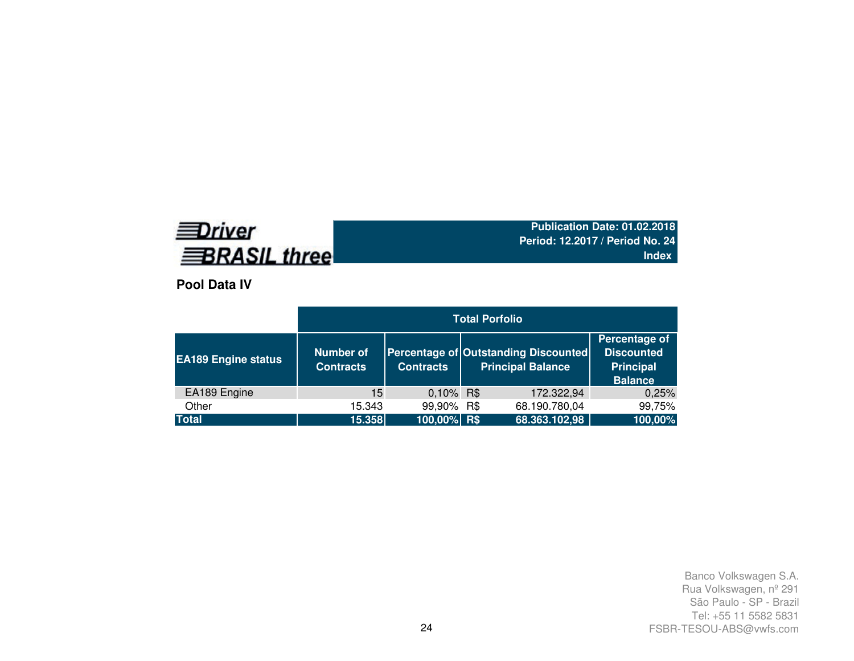# **EDriver BRASIL three**

**Publication Date: 01.02.2018 Period: 12.2017 / Period No. 24Index**

**Pool Data IV**

|                            | <b>Total Porfolio</b>                |                  |  |                                                                  |                                                                          |  |  |  |  |  |
|----------------------------|--------------------------------------|------------------|--|------------------------------------------------------------------|--------------------------------------------------------------------------|--|--|--|--|--|
| <b>EA189 Engine status</b> | <b>Number of</b><br><b>Contracts</b> | <b>Contracts</b> |  | Percentage of Outstanding Discounted<br><b>Principal Balance</b> | Percentage of<br><b>Discounted</b><br><b>Principal</b><br><b>Balance</b> |  |  |  |  |  |
| EA189 Engine               | 15                                   | 0,10% R\$        |  | 172.322,94                                                       | 0,25%                                                                    |  |  |  |  |  |
| Other                      | 15.343                               | 99,90% R\$       |  | 68.190.780,04                                                    | 99,75%                                                                   |  |  |  |  |  |
| <b>Total</b>               | 15.358                               | $100,00\%$ R\$   |  | 68.363.102,98                                                    | 100,00%                                                                  |  |  |  |  |  |